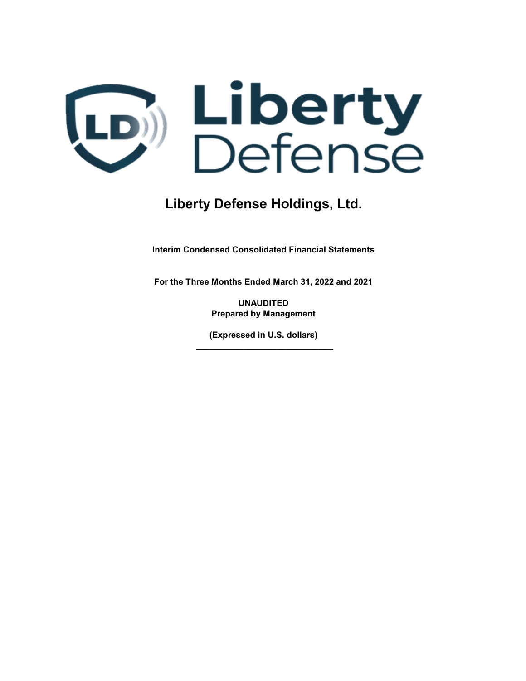

Interim Condensed Consolidated Financial Statements

For the Three Months Ended March 31, 2022 and 2021

UNAUDITED Prepared by Management

(Expressed in U.S. dollars) \_\_\_\_\_\_\_\_\_\_\_\_\_\_\_\_\_\_\_\_\_\_\_\_\_\_\_\_\_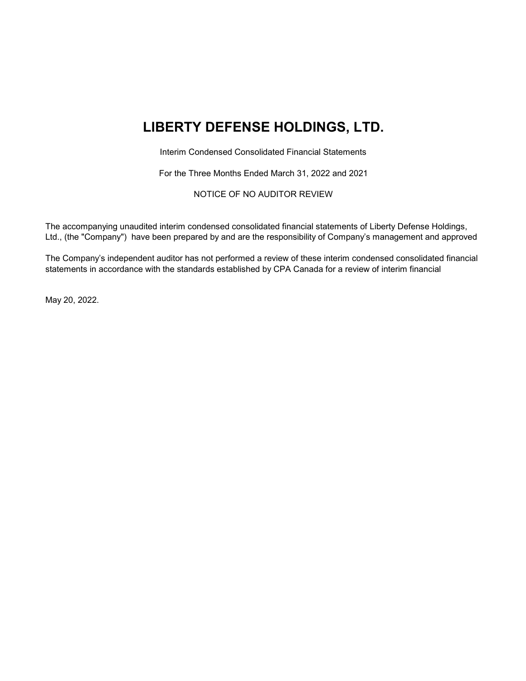# LIBERTY DEFENSE HOLDINGS, LTD.

Interim Condensed Consolidated Financial Statements

For the Three Months Ended March 31, 2022 and 2021

NOTICE OF NO AUDITOR REVIEW

The accompanying unaudited interim condensed consolidated financial statements of Liberty Defense Holdings, Ltd., (the "Company") have been prepared by and are the responsibility of Company's management and approved

The Company's independent auditor has not performed a review of these interim condensed consolidated financial statements in accordance with the standards established by CPA Canada for a review of interim financial

May 20, 2022.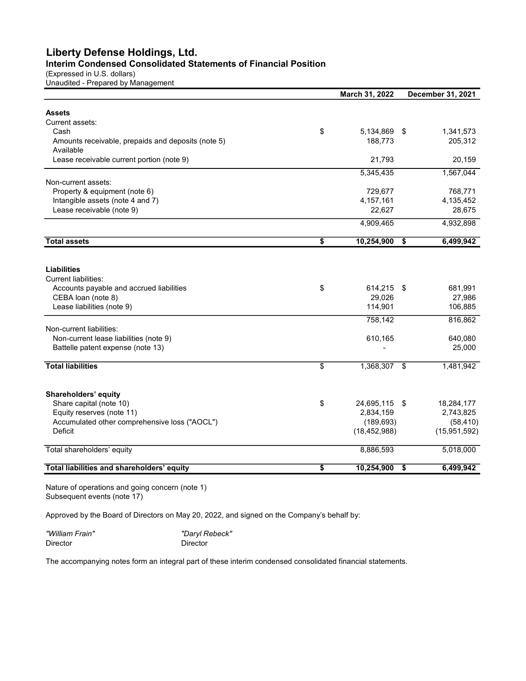## Liberty Defense Holdings, Ltd. Interim Condensed Consolidated Statements of Financial Position

(Expressed in U.S. dollars)

Unaudited - Prepared by Management

|                                                    | March 31, 2022      |      | December 31, 2021 |
|----------------------------------------------------|---------------------|------|-------------------|
|                                                    |                     |      |                   |
| <b>Assets</b>                                      |                     |      |                   |
| Current assets:                                    |                     |      |                   |
| Cash                                               | \$<br>5,134,869     | -\$  | 1,341,573         |
| Amounts receivable, prepaids and deposits (note 5) | 188,773             |      | 205,312           |
| Available                                          |                     |      |                   |
| Lease receivable current portion (note 9)          | 21,793              |      | 20,159            |
|                                                    | 5,345,435           |      | 1,567,044         |
| Non-current assets:                                |                     |      |                   |
| Property & equipment (note 6)                      | 729,677             |      | 768,771           |
| Intangible assets (note 4 and 7)                   | 4,157,161           |      | 4,135,452         |
| Lease receivable (note 9)                          | 22,627              |      | 28,675            |
|                                                    | 4,909,465           |      | 4,932,898         |
| <b>Total assets</b>                                | \$<br>10,254,900    | \$   | 6,499,942         |
|                                                    |                     |      |                   |
|                                                    |                     |      |                   |
| <b>Liabilities</b>                                 |                     |      |                   |
| Current liabilities:                               |                     |      |                   |
| Accounts payable and accrued liabilities           | \$<br>614,215       | - \$ | 681,991           |
| CEBA loan (note 8)                                 | 29,026              |      | 27,986            |
| Lease liabilities (note 9)                         | 114,901             |      | 106,885           |
|                                                    | 758,142             |      | 816,862           |
| Non-current liabilities:                           |                     |      |                   |
| Non-current lease liabilities (note 9)             | 610,165             |      | 640,080           |
| Battelle patent expense (note 13)                  |                     |      | 25,000            |
|                                                    |                     |      |                   |
| <b>Total liabilities</b>                           | \$<br>1,368,307     | \$   | 1,481,942         |
|                                                    |                     |      |                   |
| Shareholders' equity                               |                     |      |                   |
| Share capital (note 10)                            | \$<br>24,695,115 \$ |      | 18,284,177        |
| Equity reserves (note 11)                          | 2,834,159           |      | 2,743,825         |
| Accumulated other comprehensive loss ("AOCL")      | (189, 693)          |      | (58, 410)         |
| <b>Deficit</b>                                     | (18, 452, 988)      |      | (15, 951, 592)    |
| Total shareholders' equity                         | 8,886,593           |      | 5,018,000         |
|                                                    |                     |      |                   |
| Total liabilities and shareholders' equity         | \$<br>10,254,900    | \$   | 6,499,942         |

Nature of operations and going concern (note 1) Subsequent events (note 17)

Approved by the Board of Directors on May 20, 2022, and signed on the Company's behalf by:

"William Frain" "Daryl Rebeck" Director Director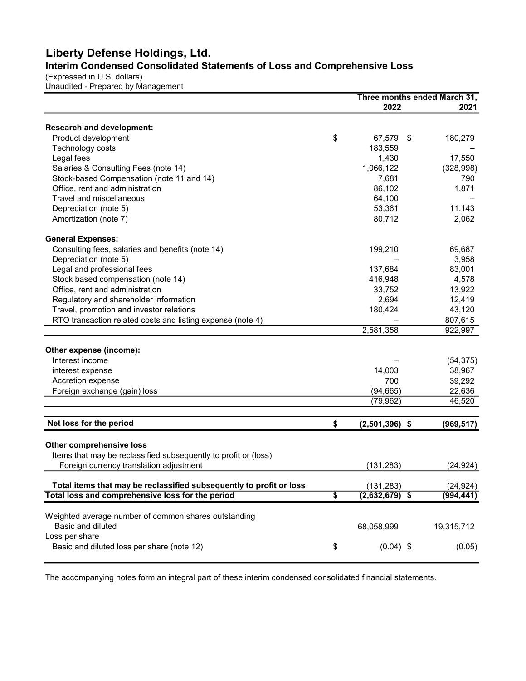## Liberty Defense Holdings, Ltd. Interim Condensed Consolidated Statements of Loss and Comprehensive Loss

(Expressed in U.S. dollars)

Unaudited - Prepared by Management

|                                                                     |                 |                  | Three months ended March 31, |
|---------------------------------------------------------------------|-----------------|------------------|------------------------------|
|                                                                     |                 | 2022             | 2021                         |
| <b>Research and development:</b>                                    |                 |                  |                              |
| Product development                                                 | \$              | 67,579           | \$<br>180,279                |
| Technology costs                                                    |                 | 183,559          |                              |
| Legal fees                                                          |                 | 1,430            | 17,550                       |
| Salaries & Consulting Fees (note 14)                                |                 | 1,066,122        | (328, 998)                   |
| Stock-based Compensation (note 11 and 14)                           |                 | 7,681            | 790                          |
| Office, rent and administration                                     |                 | 86,102           | 1,871                        |
| Travel and miscellaneous                                            |                 | 64,100           |                              |
| Depreciation (note 5)                                               |                 | 53,361           | 11,143                       |
| Amortization (note 7)                                               |                 | 80,712           | 2,062                        |
| <b>General Expenses:</b>                                            |                 |                  |                              |
| Consulting fees, salaries and benefits (note 14)                    |                 | 199,210          | 69,687                       |
| Depreciation (note 5)                                               |                 |                  | 3,958                        |
| Legal and professional fees                                         |                 | 137,684          | 83,001                       |
| Stock based compensation (note 14)                                  |                 | 416,948          | 4,578                        |
| Office, rent and administration                                     |                 | 33,752           | 13,922                       |
| Regulatory and shareholder information                              |                 | 2,694            | 12,419                       |
| Travel, promotion and investor relations                            |                 | 180,424          | 43,120                       |
| RTO transaction related costs and listing expense (note 4)          |                 |                  | 807,615                      |
|                                                                     |                 | 2,581,358        | 922,997                      |
| Other expense (income):                                             |                 |                  |                              |
| Interest income                                                     |                 |                  | (54, 375)                    |
| interest expense                                                    |                 | 14,003           | 38,967                       |
| Accretion expense                                                   |                 | 700              | 39,292                       |
|                                                                     |                 |                  |                              |
| Foreign exchange (gain) loss                                        |                 | (94, 665)        | 22,636                       |
|                                                                     |                 | (79, 962)        | 46,520                       |
| Net loss for the period                                             | \$              | $(2,501,396)$ \$ | (969, 517)                   |
| <b>Other comprehensive loss</b>                                     |                 |                  |                              |
| Items that may be reclassified subsequently to profit or (loss)     |                 |                  |                              |
| Foreign currency translation adjustment                             |                 | (131, 283)       | (24, 924)                    |
|                                                                     |                 |                  |                              |
| Total items that may be reclassified subsequently to profit or loss |                 | (131, 283)       | (24, 924)                    |
| Total loss and comprehensive loss for the period                    | $\overline{\$}$ | $(2,632,679)$ \$ | (994, 441)                   |
| Weighted average number of common shares outstanding                |                 |                  |                              |
| Basic and diluted                                                   |                 | 68,058,999       | 19,315,712                   |
| Loss per share                                                      |                 |                  |                              |
| Basic and diluted loss per share (note 12)                          | \$              | $(0.04)$ \$      | (0.05)                       |
|                                                                     |                 |                  |                              |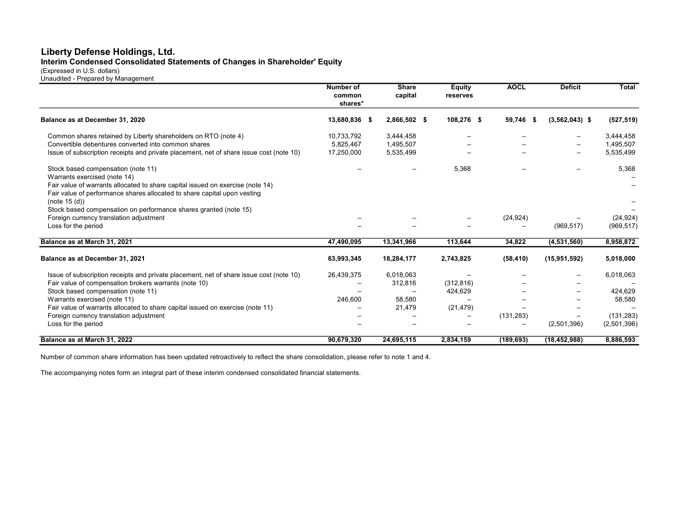## Interim Condensed Consolidated Statements of Changes in Shareholder' Equity

(Expressed in U.S. dollars) Unaudited - Prepared by Management

|                                                                                         | <b>Number of</b><br>common<br>shares* | <b>Share</b><br>capital | <b>Equity</b><br>reserves | <b>AOCL</b>       | <b>Deficit</b>             | <b>Total</b> |
|-----------------------------------------------------------------------------------------|---------------------------------------|-------------------------|---------------------------|-------------------|----------------------------|--------------|
| Balance as at December 31, 2020                                                         | 13,680,836 \$                         | 2,866,502 \$            | 108,276 \$                | 59,746            | $(3,562,043)$ \$<br>$\sim$ | (527, 519)   |
| Common shares retained by Liberty shareholders on RTO (note 4)                          | 10,733,792                            | 3,444,458               | $\overline{\phantom{0}}$  |                   | —                          | 3,444,458    |
| Convertible debentures converted into common shares                                     | 5,825,467                             | 1,495,507               |                           |                   | $\qquad \qquad$            | 1,495,507    |
| Issue of subscription receipts and private placement, net of share issue cost (note 10) | 17,250,000                            | 5,535,499               |                           |                   | $\equiv$                   | 5,535,499    |
| Stock based compensation (note 11)                                                      |                                       |                         | 5,368                     |                   |                            | 5,368        |
| Warrants exercised (note 14)                                                            |                                       |                         |                           |                   |                            |              |
| Fair value of warrants allocated to share capital issued on exercise (note 14)          |                                       |                         |                           |                   |                            |              |
| Fair value of performance shares allocated to share capital upon vesting                |                                       |                         |                           |                   |                            |              |
| (note $15(d)$ )                                                                         |                                       |                         |                           |                   |                            |              |
| Stock based compensation on performance shares granted (note 15)                        |                                       |                         |                           |                   |                            |              |
| Foreign currency translation adjustment                                                 |                                       |                         |                           | (24, 924)         |                            | (24, 924)    |
| Loss for the period                                                                     |                                       |                         |                           | $\qquad \qquad$   | (969, 517)                 | (969, 517)   |
| Balance as at March 31, 2021                                                            | 47,490,095                            | 13,341,966              | 113,644                   | 34,822            | (4,531,560)                | 8,958,872    |
| Balance as at December 31, 2021                                                         | 63,993,345                            | 18,284,177              | 2,743,825                 | (58, 410)         | (15, 951, 592)             | 5,018,000    |
| Issue of subscription receipts and private placement, net of share issue cost (note 10) | 26,439,375                            | 6,018,063               |                           |                   |                            | 6,018,063    |
| Fair value of compensation brokers warrants (note 10)                                   |                                       | 312,816                 | (312, 816)                |                   |                            |              |
| Stock based compensation (note 11)                                                      |                                       |                         | 424,629                   |                   |                            | 424,629      |
| Warrants exercised (note 11)                                                            | 246.600                               | 58,580                  |                           |                   |                            | 58,580       |
| Fair value of warrants allocated to share capital issued on exercise (note 11)          |                                       | 21,479                  | (21, 479)                 |                   |                            |              |
| Foreign currency translation adjustment                                                 |                                       |                         |                           | (131, 283)        |                            | (131, 283)   |
| Loss for the period                                                                     |                                       |                         |                           | $\qquad \qquad -$ | (2,501,396)                | (2,501,396)  |
| Balance as at March 31, 2022                                                            | 90,679,320                            | 24,695,115              | 2,834,159                 | (189, 693)        | (18, 452, 988)             | 8,886,593    |

Number of common share information has been updated retroactively to reflect the share consolidation, please refer to note 1 and 4.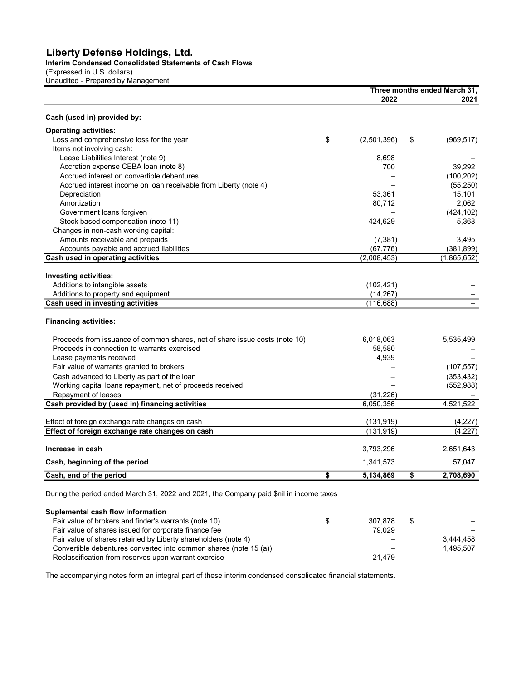Interim Condensed Consolidated Statements of Cash Flows

(Expressed in U.S. dollars) Unaudited - Prepared by Management

|                                                                             |                   | Three months ended March 31, |
|-----------------------------------------------------------------------------|-------------------|------------------------------|
|                                                                             | 2022              | 2021                         |
| Cash (used in) provided by:                                                 |                   |                              |
| <b>Operating activities:</b>                                                |                   |                              |
| Loss and comprehensive loss for the year                                    | \$<br>(2,501,396) | \$<br>(969, 517)             |
| Items not involving cash:                                                   |                   |                              |
| Lease Liabilities Interest (note 9)                                         | 8.698             |                              |
| Accretion expense CEBA loan (note 8)                                        | 700               | 39,292                       |
| Accrued interest on convertible debentures                                  |                   | (100, 202)                   |
| Accrued interest income on loan receivable from Liberty (note 4)            |                   | (55, 250)                    |
| Depreciation                                                                | 53,361            | 15,101                       |
| Amortization                                                                | 80,712            | 2,062                        |
| Government loans forgiven                                                   |                   | (424, 102)                   |
| Stock based compensation (note 11)                                          | 424,629           | 5,368                        |
| Changes in non-cash working capital:                                        |                   |                              |
| Amounts receivable and prepaids                                             | (7, 381)          | 3,495                        |
| Accounts payable and accrued liabilities                                    | (67, 776)         | (381, 899)                   |
| Cash used in operating activities                                           | (2,008,453)       | (1,865,652)                  |
| Investing activities:                                                       |                   |                              |
| Additions to intangible assets                                              | (102, 421)        |                              |
| Additions to property and equipment                                         | (14, 267)         |                              |
| Cash used in investing activities                                           | (116, 688)        |                              |
|                                                                             |                   |                              |
| <b>Financing activities:</b>                                                |                   |                              |
| Proceeds from issuance of common shares, net of share issue costs (note 10) | 6,018,063         | 5,535,499                    |
| Proceeds in connection to warrants exercised                                | 58,580            |                              |
| Lease payments received                                                     | 4,939             |                              |
| Fair value of warrants granted to brokers                                   |                   | (107, 557)                   |
| Cash advanced to Liberty as part of the loan                                |                   | (353, 432)                   |
| Working capital loans repayment, net of proceeds received                   |                   | (552, 988)                   |
| Repayment of leases                                                         | (31, 226)         |                              |
| Cash provided by (used in) financing activities                             | 6,050,356         | 4,521,522                    |
| Effect of foreign exchange rate changes on cash                             | (131, 919)        | (4,227)                      |
| Effect of foreign exchange rate changes on cash                             | (131, 919)        | (4,227)                      |
|                                                                             |                   |                              |
| Increase in cash                                                            | 3,793,296         | 2,651,643                    |
| Cash, beginning of the period                                               | 1,341,573         | 57,047                       |
| Cash, end of the period                                                     | \$<br>5,134,869   | \$<br>2,708,690              |
|                                                                             |                   |                              |

During the period ended March 31, 2022 and 2021, the Company paid \$nil in income taxes

| Suplemental cash flow information                                 |         |    |           |
|-------------------------------------------------------------------|---------|----|-----------|
| Fair value of brokers and finder's warrants (note 10)             | 307.878 | S. |           |
| Fair value of shares issued for corporate finance fee             | 79.029  |    |           |
| Fair value of shares retained by Liberty shareholders (note 4)    |         |    | 3.444.458 |
| Convertible debentures converted into common shares (note 15 (a)) |         |    | 1.495.507 |
| Reclassification from reserves upon warrant exercise              | 21.479  |    |           |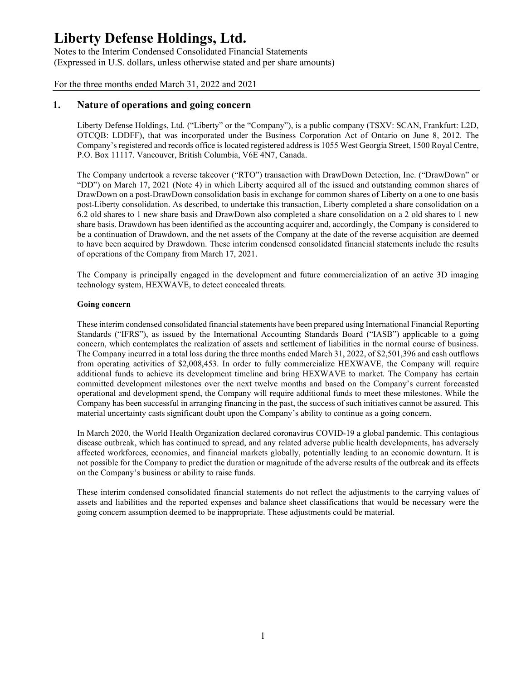Notes to the Interim Condensed Consolidated Financial Statements (Expressed in U.S. dollars, unless otherwise stated and per share amounts)

For the three months ended March 31, 2022 and 2021

## 1. Nature of operations and going concern

Liberty Defense Holdings, Ltd. ("Liberty" or the "Company"), is a public company (TSXV: SCAN, Frankfurt: L2D, OTCQB: LDDFF), that was incorporated under the Business Corporation Act of Ontario on June 8, 2012. The Company's registered and records office is located registered address is 1055 West Georgia Street, 1500 Royal Centre, P.O. Box 11117. Vancouver, British Columbia, V6E 4N7, Canada.

The Company undertook a reverse takeover ("RTO") transaction with DrawDown Detection, Inc. ("DrawDown" or "DD") on March 17, 2021 (Note 4) in which Liberty acquired all of the issued and outstanding common shares of DrawDown on a post-DrawDown consolidation basis in exchange for common shares of Liberty on a one to one basis post-Liberty consolidation. As described, to undertake this transaction, Liberty completed a share consolidation on a 6.2 old shares to 1 new share basis and DrawDown also completed a share consolidation on a 2 old shares to 1 new share basis. Drawdown has been identified as the accounting acquirer and, accordingly, the Company is considered to be a continuation of Drawdown, and the net assets of the Company at the date of the reverse acquisition are deemed to have been acquired by Drawdown. These interim condensed consolidated financial statements include the results of operations of the Company from March 17, 2021.

The Company is principally engaged in the development and future commercialization of an active 3D imaging technology system, HEXWAVE, to detect concealed threats.

#### Going concern

These interim condensed consolidated financial statements have been prepared using International Financial Reporting Standards ("IFRS"), as issued by the International Accounting Standards Board ("IASB") applicable to a going concern, which contemplates the realization of assets and settlement of liabilities in the normal course of business. The Company incurred in a total loss during the three months ended March 31, 2022, of \$2,501,396 and cash outflows from operating activities of \$2,008,453. In order to fully commercialize HEXWAVE, the Company will require additional funds to achieve its development timeline and bring HEXWAVE to market. The Company has certain committed development milestones over the next twelve months and based on the Company's current forecasted operational and development spend, the Company will require additional funds to meet these milestones. While the Company has been successful in arranging financing in the past, the success of such initiatives cannot be assured. This material uncertainty casts significant doubt upon the Company's ability to continue as a going concern.

In March 2020, the World Health Organization declared coronavirus COVID-19 a global pandemic. This contagious disease outbreak, which has continued to spread, and any related adverse public health developments, has adversely affected workforces, economies, and financial markets globally, potentially leading to an economic downturn. It is not possible for the Company to predict the duration or magnitude of the adverse results of the outbreak and its effects on the Company's business or ability to raise funds.

These interim condensed consolidated financial statements do not reflect the adjustments to the carrying values of assets and liabilities and the reported expenses and balance sheet classifications that would be necessary were the going concern assumption deemed to be inappropriate. These adjustments could be material.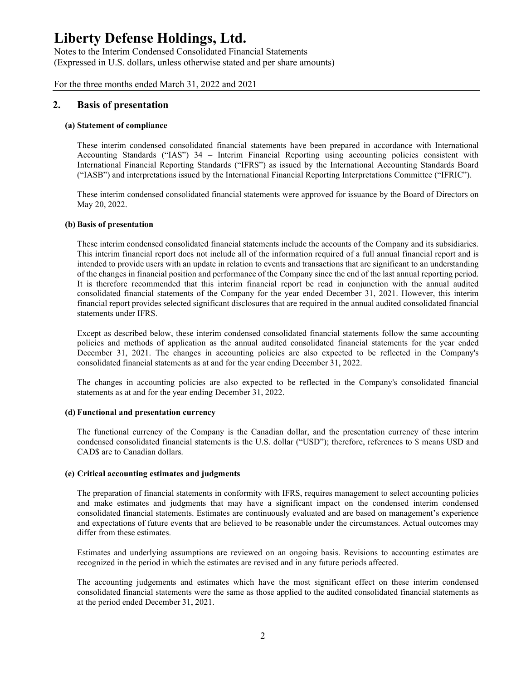Notes to the Interim Condensed Consolidated Financial Statements (Expressed in U.S. dollars, unless otherwise stated and per share amounts)

For the three months ended March 31, 2022 and 2021

### 2. Basis of presentation

#### (a) Statement of compliance

These interim condensed consolidated financial statements have been prepared in accordance with International Accounting Standards ("IAS") 34 – Interim Financial Reporting using accounting policies consistent with International Financial Reporting Standards ("IFRS") as issued by the International Accounting Standards Board ("IASB") and interpretations issued by the International Financial Reporting Interpretations Committee ("IFRIC").

These interim condensed consolidated financial statements were approved for issuance by the Board of Directors on May 20, 2022.

#### (b) Basis of presentation

These interim condensed consolidated financial statements include the accounts of the Company and its subsidiaries. This interim financial report does not include all of the information required of a full annual financial report and is intended to provide users with an update in relation to events and transactions that are significant to an understanding of the changes in financial position and performance of the Company since the end of the last annual reporting period. It is therefore recommended that this interim financial report be read in conjunction with the annual audited consolidated financial statements of the Company for the year ended December 31, 2021. However, this interim financial report provides selected significant disclosures that are required in the annual audited consolidated financial statements under IFRS.

Except as described below, these interim condensed consolidated financial statements follow the same accounting policies and methods of application as the annual audited consolidated financial statements for the year ended December 31, 2021. The changes in accounting policies are also expected to be reflected in the Company's consolidated financial statements as at and for the year ending December 31, 2022.

The changes in accounting policies are also expected to be reflected in the Company's consolidated financial statements as at and for the year ending December 31, 2022.

#### (d) Functional and presentation currency

The functional currency of the Company is the Canadian dollar, and the presentation currency of these interim condensed consolidated financial statements is the U.S. dollar ("USD"); therefore, references to \$ means USD and CAD\$ are to Canadian dollars.

#### (e) Critical accounting estimates and judgments

The preparation of financial statements in conformity with IFRS, requires management to select accounting policies and make estimates and judgments that may have a significant impact on the condensed interim condensed consolidated financial statements. Estimates are continuously evaluated and are based on management's experience and expectations of future events that are believed to be reasonable under the circumstances. Actual outcomes may differ from these estimates.

Estimates and underlying assumptions are reviewed on an ongoing basis. Revisions to accounting estimates are recognized in the period in which the estimates are revised and in any future periods affected.

The accounting judgements and estimates which have the most significant effect on these interim condensed consolidated financial statements were the same as those applied to the audited consolidated financial statements as at the period ended December 31, 2021.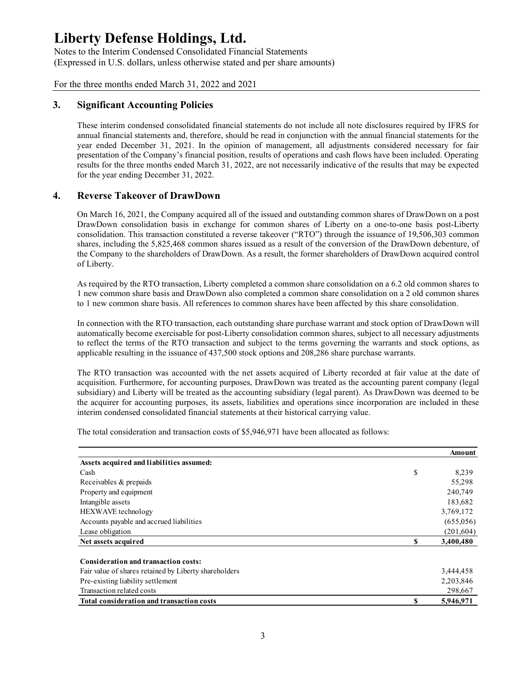Notes to the Interim Condensed Consolidated Financial Statements (Expressed in U.S. dollars, unless otherwise stated and per share amounts)

For the three months ended March 31, 2022 and 2021

## 3. Significant Accounting Policies

These interim condensed consolidated financial statements do not include all note disclosures required by IFRS for annual financial statements and, therefore, should be read in conjunction with the annual financial statements for the year ended December 31, 2021. In the opinion of management, all adjustments considered necessary for fair presentation of the Company's financial position, results of operations and cash flows have been included. Operating results for the three months ended March 31, 2022, are not necessarily indicative of the results that may be expected for the year ending December 31, 2022.

## 4. Reverse Takeover of DrawDown

On March 16, 2021, the Company acquired all of the issued and outstanding common shares of DrawDown on a post DrawDown consolidation basis in exchange for common shares of Liberty on a one-to-one basis post-Liberty consolidation. This transaction constituted a reverse takeover ("RTO") through the issuance of 19,506,303 common shares, including the 5,825,468 common shares issued as a result of the conversion of the DrawDown debenture, of the Company to the shareholders of DrawDown. As a result, the former shareholders of DrawDown acquired control of Liberty.

| the Company to the shareholders of DrawDown. As a result, the former shareholders of DrawDown acquired control<br>of Liberty.                                                                                                                                                                                                                                                                                                                                                                                                                                                |              |                         |
|------------------------------------------------------------------------------------------------------------------------------------------------------------------------------------------------------------------------------------------------------------------------------------------------------------------------------------------------------------------------------------------------------------------------------------------------------------------------------------------------------------------------------------------------------------------------------|--------------|-------------------------|
| As required by the RTO transaction, Liberty completed a common share consolidation on a 6.2 old common shares to<br>1 new common share basis and DrawDown also completed a common share consolidation on a 2 old common shares<br>to 1 new common share basis. All references to common shares have been affected by this share consolidation.                                                                                                                                                                                                                               |              |                         |
| In connection with the RTO transaction, each outstanding share purchase warrant and stock option of DrawDown will<br>automatically become exercisable for post-Liberty consolidation common shares, subject to all necessary adjustments<br>to reflect the terms of the RTO transaction and subject to the terms governing the warrants and stock options, as<br>applicable resulting in the issuance of 437,500 stock options and 208,286 share purchase warrants.                                                                                                          |              |                         |
| The RTO transaction was accounted with the net assets acquired of Liberty recorded at fair value at the date of<br>acquisition. Furthermore, for accounting purposes, DrawDown was treated as the accounting parent company (legal<br>subsidiary) and Liberty will be treated as the accounting subsidiary (legal parent). As DrawDown was deemed to be<br>the acquirer for accounting purposes, its assets, liabilities and operations since incorporation are included in these<br>interim condensed consolidated financial statements at their historical carrying value. |              |                         |
|                                                                                                                                                                                                                                                                                                                                                                                                                                                                                                                                                                              |              |                         |
| The total consideration and transaction costs of \$5,946,971 have been allocated as follows:                                                                                                                                                                                                                                                                                                                                                                                                                                                                                 |              |                         |
|                                                                                                                                                                                                                                                                                                                                                                                                                                                                                                                                                                              |              | Amount                  |
| Assets acquired and liabilities assumed:                                                                                                                                                                                                                                                                                                                                                                                                                                                                                                                                     |              |                         |
| Cash                                                                                                                                                                                                                                                                                                                                                                                                                                                                                                                                                                         | \$           | 8,239                   |
| Receivables & prepaids                                                                                                                                                                                                                                                                                                                                                                                                                                                                                                                                                       |              | 55,298                  |
| Property and equipment                                                                                                                                                                                                                                                                                                                                                                                                                                                                                                                                                       |              | 240,749                 |
| Intangible assets                                                                                                                                                                                                                                                                                                                                                                                                                                                                                                                                                            |              | 183,682                 |
| HEXWAVE technology                                                                                                                                                                                                                                                                                                                                                                                                                                                                                                                                                           |              | 3,769,172               |
| Accounts payable and accrued liabilities                                                                                                                                                                                                                                                                                                                                                                                                                                                                                                                                     |              | (655,056)               |
| Lease obligation<br>Net assets acquired                                                                                                                                                                                                                                                                                                                                                                                                                                                                                                                                      | $\mathbf{s}$ | (201, 604)<br>3,400,480 |
|                                                                                                                                                                                                                                                                                                                                                                                                                                                                                                                                                                              |              |                         |
| Consideration and transaction costs:                                                                                                                                                                                                                                                                                                                                                                                                                                                                                                                                         |              |                         |
| Fair value of shares retained by Liberty shareholders                                                                                                                                                                                                                                                                                                                                                                                                                                                                                                                        |              | 3,444,458               |
| Pre-existing liability settlement                                                                                                                                                                                                                                                                                                                                                                                                                                                                                                                                            |              | 2,203,846               |
| Transaction related costs<br>Total consideration and transaction costs                                                                                                                                                                                                                                                                                                                                                                                                                                                                                                       | $\mathbf S$  | 298,667<br>5,946,971    |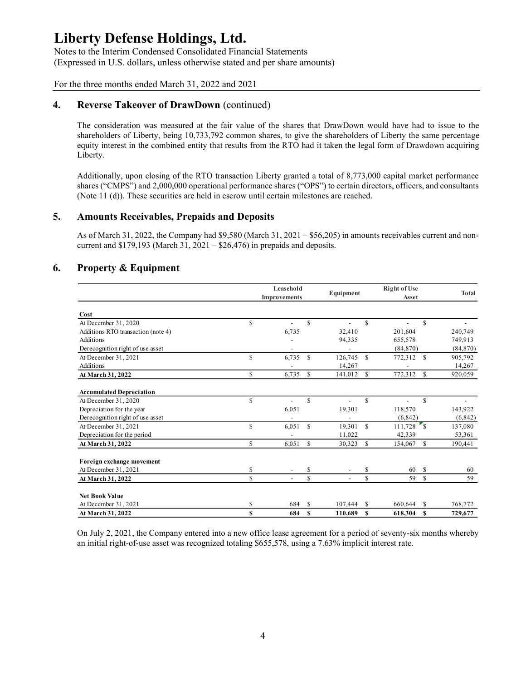Notes to the Interim Condensed Consolidated Financial Statements (Expressed in U.S. dollars, unless otherwise stated and per share amounts)

For the three months ended March 31, 2022 and 2021

## 4. Reverse Takeover of DrawDown (continued)

### 5. Amounts Receivables, Prepaids and Deposits

## 6. Property & Equipment

|                                                                                                                                                                                                                                                                                                                                                                   | <b>Reverse Takeover of DrawDown (continued)</b> |                           |               |                          |              |                              |               |              |
|-------------------------------------------------------------------------------------------------------------------------------------------------------------------------------------------------------------------------------------------------------------------------------------------------------------------------------------------------------------------|-------------------------------------------------|---------------------------|---------------|--------------------------|--------------|------------------------------|---------------|--------------|
| The consideration was measured at the fair value of the shares that DrawDown would have had to issue to the<br>shareholders of Liberty, being 10,733,792 common shares, to give the shareholders of Liberty the same percentage<br>equity interest in the combined entity that results from the RTO had it taken the legal form of Drawdown acquiring<br>Liberty. |                                                 |                           |               |                          |              |                              |               |              |
| Additionally, upon closing of the RTO transaction Liberty granted a total of 8,773,000 capital market performance<br>shares ("CMPS") and 2,000,000 operational performance shares ("OPS") to certain directors, officers, and consultants<br>(Note 11 (d)). These securities are held in escrow until certain milestones are reached.                             |                                                 |                           |               |                          |              |                              |               |              |
| <b>Amounts Receivables, Prepaids and Deposits</b>                                                                                                                                                                                                                                                                                                                 |                                                 |                           |               |                          |              |                              |               |              |
| As of March 31, 2022, the Company had \$9,580 (March 31, $2021 - $56,205$ ) in amounts receivables current and non-<br>current and $$179,193$ (March 31, 2021 – $$26,476$ ) in prepaids and deposits.<br><b>Property &amp; Equipment</b>                                                                                                                          |                                                 |                           |               |                          |              |                              |               |              |
|                                                                                                                                                                                                                                                                                                                                                                   |                                                 | Leasehold<br>Improvements |               | Equipment                |              | <b>Right of Use</b><br>Asset |               | <b>Total</b> |
| Cost                                                                                                                                                                                                                                                                                                                                                              |                                                 |                           |               |                          |              |                              |               |              |
| At December 31, 2020                                                                                                                                                                                                                                                                                                                                              | \$                                              | $\blacksquare$            | $\mathbb{S}$  | $\overline{\phantom{0}}$ | $\mathbb{S}$ | $\blacksquare$               | <sup>\$</sup> |              |
| Additions RTO transaction (note 4)                                                                                                                                                                                                                                                                                                                                |                                                 | 6,735                     |               | 32,410                   |              | 201,604                      |               | 240,749      |
| Additions                                                                                                                                                                                                                                                                                                                                                         |                                                 |                           |               | 94,335                   |              | 655,578                      |               | 749,913      |
| Derecognition right of use asset                                                                                                                                                                                                                                                                                                                                  |                                                 |                           |               |                          |              | (84,870)                     |               | (84,870)     |
| At December 31, 2021                                                                                                                                                                                                                                                                                                                                              | \$                                              | $6,735$ \$                |               | $126,745$ \$             |              | 772,312 \$                   |               | 905,792      |
| Additions                                                                                                                                                                                                                                                                                                                                                         |                                                 |                           |               | 14,267                   |              |                              |               | 14,267       |
|                                                                                                                                                                                                                                                                                                                                                                   |                                                 | 6,735 \$                  |               | $141,012$ \$             |              | 772,312                      | <sup>\$</sup> | 920,059      |
| At March 31, 2022                                                                                                                                                                                                                                                                                                                                                 | $\mathbb S$                                     |                           |               |                          |              |                              |               |              |
|                                                                                                                                                                                                                                                                                                                                                                   |                                                 |                           |               |                          |              |                              |               |              |
| <b>Accumulated Depreciation</b><br>At December 31, 2020                                                                                                                                                                                                                                                                                                           | \$                                              | $\blacksquare$            | $\mathbb S$   | $\overline{\phantom{a}}$ | \$           |                              | <sup>\$</sup> |              |
| Depreciation for the year                                                                                                                                                                                                                                                                                                                                         |                                                 | 6,051                     |               | 19,301                   |              | 118,570                      |               | 143,922      |
| Derecognition right of use asset                                                                                                                                                                                                                                                                                                                                  |                                                 |                           |               |                          |              | (6, 842)                     |               | (6,842)      |
| At December 31, 2021                                                                                                                                                                                                                                                                                                                                              | \$                                              | $6,051$ \$                |               | $19,301$ \$              |              | $111,728$ \$                 |               | 137,080      |
| Depreciation for the period                                                                                                                                                                                                                                                                                                                                       |                                                 |                           |               | 11,022                   |              | 42,339                       |               | 53,361       |
| At March 31, 2022                                                                                                                                                                                                                                                                                                                                                 | $\mathbb{S}$                                    | 6,051                     | <sup>\$</sup> | 30,323 \$                |              | 154,067 \$                   |               | 190,441      |
| Foreign exchange movement                                                                                                                                                                                                                                                                                                                                         |                                                 |                           |               |                          |              |                              |               |              |
| At December 31, 2021                                                                                                                                                                                                                                                                                                                                              | \$                                              |                           | \$            |                          | \$           | 60                           | -S            | 60           |
| At March 31, 2022                                                                                                                                                                                                                                                                                                                                                 | $\mathbb S$                                     | $\overline{\phantom{a}}$  | $\mathbb{S}$  | $\blacksquare$           | \$           | 59                           | $\mathbb{S}$  | 59           |
| Net Book Value                                                                                                                                                                                                                                                                                                                                                    |                                                 |                           |               |                          |              |                              |               |              |
| At December 31, 2021                                                                                                                                                                                                                                                                                                                                              | \$                                              | 684 \$                    |               | $107,444$ \$             |              | 660,644 \$                   |               | 768,772      |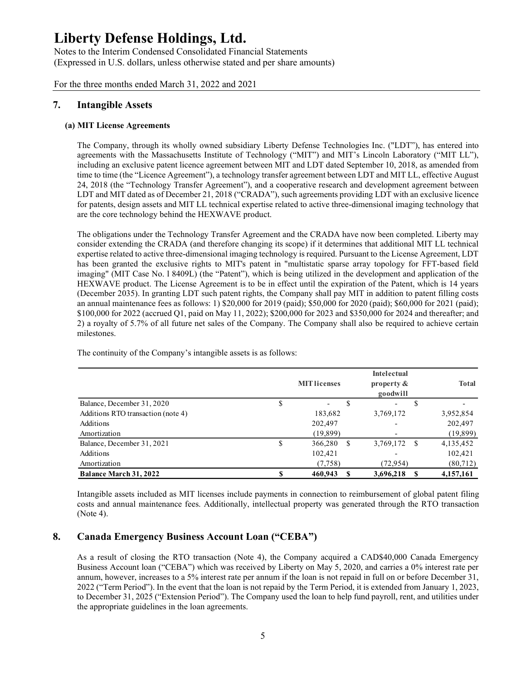Notes to the Interim Condensed Consolidated Financial Statements (Expressed in U.S. dollars, unless otherwise stated and per share amounts)

For the three months ended March 31, 2022 and 2021

## 7. Intangible Assets

### (a) MIT License Agreements

The Company, through its wholly owned subsidiary Liberty Defense Technologies Inc. ("LDT"), has entered into agreements with the Massachusetts Institute of Technology ("MIT") and MIT's Lincoln Laboratory ("MIT LL"), including an exclusive patent licence agreement between MIT and LDT dated September 10, 2018, as amended from time to time (the "Licence Agreement"), a technology transfer agreement between LDT and MIT LL, effective August 24, 2018 (the "Technology Transfer Agreement"), and a cooperative research and development agreement between LDT and MIT dated as of December 21, 2018 ("CRADA"), such agreements providing LDT with an exclusive licence for patents, design assets and MIT LL technical expertise related to active three-dimensional imaging technology that are the core technology behind the HEXWAVE product.

| are the core technology behind the HEXWAVE product.                                                                                                                                                                                                                                                                                                                                                                                                                                                                                                                                                                                                                                                                                                                                                                                                                                                                                                                                                                                                                                                                                                                                                                             |                                |                              |               |              |
|---------------------------------------------------------------------------------------------------------------------------------------------------------------------------------------------------------------------------------------------------------------------------------------------------------------------------------------------------------------------------------------------------------------------------------------------------------------------------------------------------------------------------------------------------------------------------------------------------------------------------------------------------------------------------------------------------------------------------------------------------------------------------------------------------------------------------------------------------------------------------------------------------------------------------------------------------------------------------------------------------------------------------------------------------------------------------------------------------------------------------------------------------------------------------------------------------------------------------------|--------------------------------|------------------------------|---------------|--------------|
| The obligations under the Technology Transfer Agreement and the CRADA have now been completed. Liberty may<br>consider extending the CRADA (and therefore changing its scope) if it determines that additional MIT LL technical<br>expertise related to active three-dimensional imaging technology is required. Pursuant to the License Agreement, LDT<br>has been granted the exclusive rights to MIT's patent in "multistatic sparse array topology for FFT-based field<br>imaging" (MIT Case No. 18409L) (the "Patent"), which is being utilized in the development and application of the<br>HEXWAVE product. The License Agreement is to be in effect until the expiration of the Patent, which is 14 years<br>(December 2035). In granting LDT such patent rights, the Company shall pay MIT in addition to patent filling costs<br>an annual maintenance fees as follows: 1) \$20,000 for 2019 (paid); \$50,000 for 2020 (paid); \$60,000 for 2021 (paid);<br>\$100,000 for 2022 (accrued Q1, paid on May 11, 2022); \$200,000 for 2023 and \$350,000 for 2024 and thereafter; and<br>2) a royalty of 5.7% of all future net sales of the Company. The Company shall also be required to achieve certain<br>milestones. |                                |                              |               |              |
|                                                                                                                                                                                                                                                                                                                                                                                                                                                                                                                                                                                                                                                                                                                                                                                                                                                                                                                                                                                                                                                                                                                                                                                                                                 |                                |                              |               |              |
|                                                                                                                                                                                                                                                                                                                                                                                                                                                                                                                                                                                                                                                                                                                                                                                                                                                                                                                                                                                                                                                                                                                                                                                                                                 | <b>MIT licenses</b>            | Intelectual<br>property $\&$ |               | <b>Total</b> |
|                                                                                                                                                                                                                                                                                                                                                                                                                                                                                                                                                                                                                                                                                                                                                                                                                                                                                                                                                                                                                                                                                                                                                                                                                                 | \$<br>\$                       | goodwill                     | <sup>\$</sup> |              |
| Balance, December 31, 2020<br>Additions RTO transaction (note 4)                                                                                                                                                                                                                                                                                                                                                                                                                                                                                                                                                                                                                                                                                                                                                                                                                                                                                                                                                                                                                                                                                                                                                                | 183,682                        | 3,769,172                    |               | 3,952,854    |
| Additions                                                                                                                                                                                                                                                                                                                                                                                                                                                                                                                                                                                                                                                                                                                                                                                                                                                                                                                                                                                                                                                                                                                                                                                                                       | 202,497                        |                              |               | 202,497      |
| Amortization                                                                                                                                                                                                                                                                                                                                                                                                                                                                                                                                                                                                                                                                                                                                                                                                                                                                                                                                                                                                                                                                                                                                                                                                                    | (19, 899)                      |                              |               | (19,899)     |
| The continuity of the Company's intangible assets is as follows:<br>Balance, December 31, 2021                                                                                                                                                                                                                                                                                                                                                                                                                                                                                                                                                                                                                                                                                                                                                                                                                                                                                                                                                                                                                                                                                                                                  | \$<br>366,280<br><sup>\$</sup> | 3,769,172 \$                 |               | 4,135,452    |
| Additions                                                                                                                                                                                                                                                                                                                                                                                                                                                                                                                                                                                                                                                                                                                                                                                                                                                                                                                                                                                                                                                                                                                                                                                                                       | 102,421                        |                              |               | 102,421      |
| Amortization                                                                                                                                                                                                                                                                                                                                                                                                                                                                                                                                                                                                                                                                                                                                                                                                                                                                                                                                                                                                                                                                                                                                                                                                                    | (7,758)                        | (72, 954)                    |               | (80,712)     |

## 8. Canada Emergency Business Account Loan ("CEBA")

As a result of closing the RTO transaction (Note 4), the Company acquired a CAD\$40,000 Canada Emergency Business Account loan ("CEBA") which was received by Liberty on May 5, 2020, and carries a 0% interest rate per annum, however, increases to a 5% interest rate per annum if the loan is not repaid in full on or before December 31, 2022 ("Term Period"). In the event that the loan is not repaid by the Term Period, it is extended from January 1, 2023, to December 31, 2025 ("Extension Period"). The Company used the loan to help fund payroll, rent, and utilities under the appropriate guidelines in the loan agreements.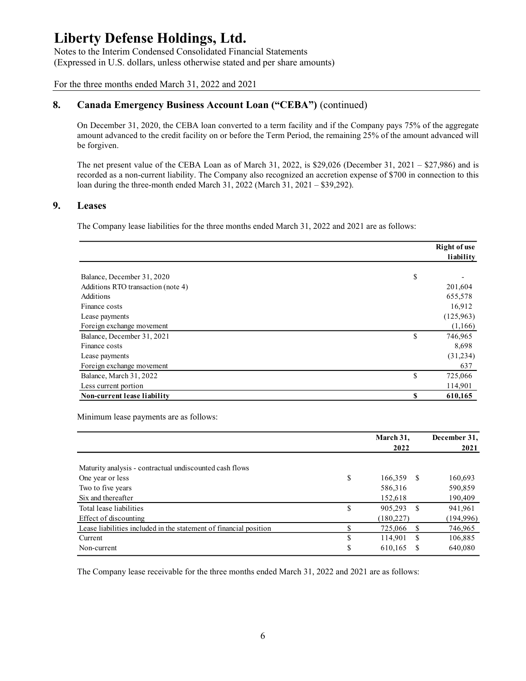Notes to the Interim Condensed Consolidated Financial Statements (Expressed in U.S. dollars, unless otherwise stated and per share amounts)

For the three months ended March 31, 2022 and 2021

## 8. Canada Emergency Business Account Loan ("CEBA") (continued)

## 9. Leases

| to the micrim condensed consondated i maneral statements<br>essed in U.S. dollars, unless otherwise stated and per share amounts)                                                                                                                                                                                       |                  |                     |
|-------------------------------------------------------------------------------------------------------------------------------------------------------------------------------------------------------------------------------------------------------------------------------------------------------------------------|------------------|---------------------|
| e three months ended March 31, 2022 and 2021                                                                                                                                                                                                                                                                            |                  |                     |
| Canada Emergency Business Account Loan ("CEBA") (continued)                                                                                                                                                                                                                                                             |                  |                     |
| On December 31, 2020, the CEBA loan converted to a term facility and if the Company pays 75% of the aggregate<br>amount advanced to the credit facility on or before the Term Period, the remaining 25% of the amount advanced will<br>be forgiven.                                                                     |                  |                     |
| The net present value of the CEBA Loan as of March 31, 2022, is \$29,026 (December 31, 2021 - \$27,986) and is<br>recorded as a non-current liability. The Company also recognized an accretion expense of \$700 in connection to this<br>loan during the three-month ended March 31, 2022 (March 31, 2021 – \$39,292). |                  |                     |
| <b>Leases</b>                                                                                                                                                                                                                                                                                                           |                  |                     |
| The Company lease liabilities for the three months ended March 31, 2022 and 2021 are as follows:                                                                                                                                                                                                                        |                  |                     |
|                                                                                                                                                                                                                                                                                                                         |                  | <b>Right of use</b> |
|                                                                                                                                                                                                                                                                                                                         |                  | liability           |
|                                                                                                                                                                                                                                                                                                                         |                  |                     |
| Balance, December 31, 2020                                                                                                                                                                                                                                                                                              | S                |                     |
| Additions RTO transaction (note 4)                                                                                                                                                                                                                                                                                      |                  | 201,604             |
| Additions                                                                                                                                                                                                                                                                                                               |                  | 655,578             |
| Finance costs                                                                                                                                                                                                                                                                                                           |                  | 16,912              |
| Lease payments                                                                                                                                                                                                                                                                                                          |                  | (125,963)           |
| Foreign exchange movement                                                                                                                                                                                                                                                                                               |                  | (1,166)             |
| Balance, December 31, 2021                                                                                                                                                                                                                                                                                              | \$               | 746,965             |
| Finance costs                                                                                                                                                                                                                                                                                                           |                  | 8,698               |
| Lease payments                                                                                                                                                                                                                                                                                                          |                  | (31,234)            |
| Foreign exchange movement                                                                                                                                                                                                                                                                                               |                  | 637                 |
| Balance, March 31, 2022<br>Less current portion                                                                                                                                                                                                                                                                         | $\mathbb{S}$     | 725,066             |
| Non-current lease liability                                                                                                                                                                                                                                                                                             | \$               | 114,901<br>610,165  |
| Minimum lease payments are as follows:                                                                                                                                                                                                                                                                                  |                  |                     |
|                                                                                                                                                                                                                                                                                                                         | March 31,        | December 31,        |
|                                                                                                                                                                                                                                                                                                                         | 2022             | 2021                |
| Maturity analysis - contractual undiscounted cash flows                                                                                                                                                                                                                                                                 |                  |                     |
| One year or less                                                                                                                                                                                                                                                                                                        | \$<br>166,359 \$ | 160,693             |
| Two to five years                                                                                                                                                                                                                                                                                                       | 586,316          | 590,859             |
| Six and thereafter                                                                                                                                                                                                                                                                                                      | 152,618          | 190,409             |
| Total lease liabilities                                                                                                                                                                                                                                                                                                 | \$<br>905,293 \$ | 941,961             |
| Effect of discounting                                                                                                                                                                                                                                                                                                   | (180, 227)       | (194, 996)          |
| Lease liabilities included in the statement of financial position                                                                                                                                                                                                                                                       | \$<br>725,066 \$ | 746,965             |
| Current                                                                                                                                                                                                                                                                                                                 | \$<br>114,901 \$ | 106,885             |
| Non-current                                                                                                                                                                                                                                                                                                             | \$<br>610,165 \$ | 640,080             |
|                                                                                                                                                                                                                                                                                                                         |                  |                     |

| Finance costs                                                     |                                | 16,912               |
|-------------------------------------------------------------------|--------------------------------|----------------------|
| Lease payments                                                    |                                | (125,963)            |
| Foreign exchange movement                                         |                                | (1,166)              |
| Balance, December 31, 2021                                        | \$                             | 746,965              |
| Finance costs                                                     |                                | 8,698                |
| Lease payments                                                    |                                | (31, 234)            |
| Foreign exchange movement                                         |                                | 637                  |
| Balance, March 31, 2022                                           | \$                             | 725,066              |
| Less current portion                                              |                                | 114,901              |
| Non-current lease liability                                       | S                              | 610,165              |
| Minimum lease payments are as follows:                            | March 31,<br>2022              | December 31,<br>2021 |
|                                                                   |                                |                      |
| Maturity analysis - contractual undiscounted cash flows           |                                |                      |
| One year or less                                                  | \$<br>166,359 \$               | 160,693              |
| Two to five years                                                 | 586,316                        | 590,859              |
| Six and thereafter                                                | 152,618                        | 190,409              |
| Total lease liabilities                                           | \$<br>905,293<br><sup>\$</sup> | 941,961              |
| Effect of discounting                                             | (180, 227)                     | (194,996)            |
| Lease liabilities included in the statement of financial position | \$<br>725,066<br>-S            | 746,965              |
| Current                                                           | \$<br>114,901<br><sup>\$</sup> | 106,885              |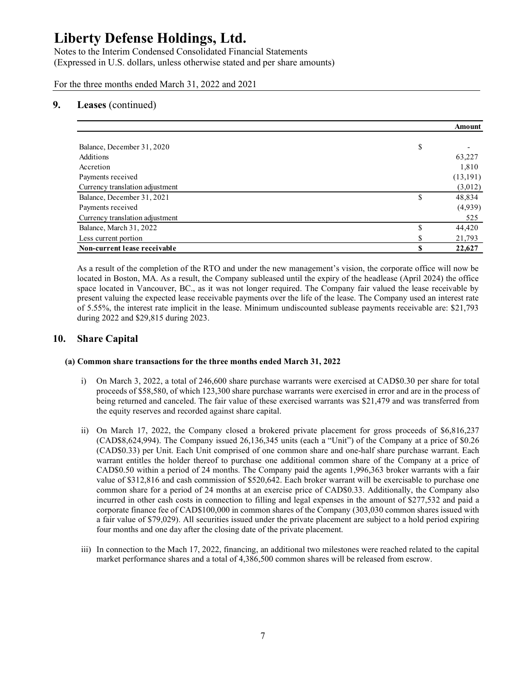Notes to the Interim Condensed Consolidated Financial Statements (Expressed in U.S. dollars, unless otherwise stated and per share amounts)

For the three months ended March 31, 2022 and 2021

### 9. Leases (continued)

| erty Defense Holdings, Ltd.<br>s to the Interim Condensed Consolidated Financial Statements<br>ressed in U.S. dollars, unless otherwise stated and per share amounts)<br>ne three months ended March 31, 2022 and 2021 |                    |                          |
|------------------------------------------------------------------------------------------------------------------------------------------------------------------------------------------------------------------------|--------------------|--------------------------|
|                                                                                                                                                                                                                        |                    |                          |
|                                                                                                                                                                                                                        |                    |                          |
|                                                                                                                                                                                                                        |                    |                          |
|                                                                                                                                                                                                                        |                    |                          |
|                                                                                                                                                                                                                        |                    |                          |
|                                                                                                                                                                                                                        |                    |                          |
| Leases (continued)                                                                                                                                                                                                     |                    |                          |
|                                                                                                                                                                                                                        |                    |                          |
|                                                                                                                                                                                                                        |                    | <b>Amount</b>            |
|                                                                                                                                                                                                                        |                    |                          |
| Balance, December 31, 2020<br>Additions                                                                                                                                                                                | \$                 | $\overline{\phantom{a}}$ |
| Accretion                                                                                                                                                                                                              |                    | 63,227<br>1,810          |
| Payments received                                                                                                                                                                                                      |                    | (13,191)                 |
| Currency translation adjustment                                                                                                                                                                                        |                    | (3,012)                  |
|                                                                                                                                                                                                                        |                    | 48,834                   |
|                                                                                                                                                                                                                        |                    |                          |
| Balance, December 31, 2021                                                                                                                                                                                             | \$                 |                          |
| Payments received                                                                                                                                                                                                      |                    | (4,939)                  |
| Currency translation adjustment                                                                                                                                                                                        |                    | 525                      |
| Balance, March 31, 2022<br>Less current portion                                                                                                                                                                        | $\mathbb{S}$<br>\$ | 44,420<br>21,793         |

As a result of the completion of the RTO and under the new management's vision, the corporate office will now be located in Boston, MA. As a result, the Company subleased until the expiry of the headlease (April 2024) the office space located in Vancouver, BC., as it was not longer required. The Company fair valued the lease receivable by present valuing the expected lease receivable payments over the life of the lease. The Company used an interest rate of 5.55%, the interest rate implicit in the lease. Minimum undiscounted sublease payments receivable are: \$21,793 during 2022 and \$29,815 during 2023.

## 10. Share Capital

#### (a) Common share transactions for the three months ended March 31, 2022

- i) On March 3, 2022, a total of 246,600 share purchase warrants were exercised at CAD\$0.30 per share for total proceeds of \$58,580, of which 123,300 share purchase warrants were exercised in error and are in the process of being returned and canceled. The fair value of these exercised warrants was \$21,479 and was transferred from the equity reserves and recorded against share capital.
- ii) On March 17, 2022, the Company closed a brokered private placement for gross proceeds of \$6,816,237 (CAD\$8,624,994). The Company issued 26,136,345 units (each a "Unit") of the Company at a price of \$0.26 (CAD\$0.33) per Unit. Each Unit comprised of one common share and one-half share purchase warrant. Each warrant entitles the holder thereof to purchase one additional common share of the Company at a price of CAD\$0.50 within a period of 24 months. The Company paid the agents 1,996,363 broker warrants with a fair value of \$312,816 and cash commission of \$520,642. Each broker warrant will be exercisable to purchase one common share for a period of 24 months at an exercise price of CAD\$0.33. Additionally, the Company also incurred in other cash costs in connection to filling and legal expenses in the amount of \$277,532 and paid a corporate finance fee of CAD\$100,000 in common shares of the Company (303,030 common shares issued with a fair value of \$79,029). All securities issued under the private placement are subject to a hold period expiring four months and one day after the closing date of the private placement.
- iii) In connection to the Mach 17, 2022, financing, an additional two milestones were reached related to the capital market performance shares and a total of 4,386,500 common shares will be released from escrow.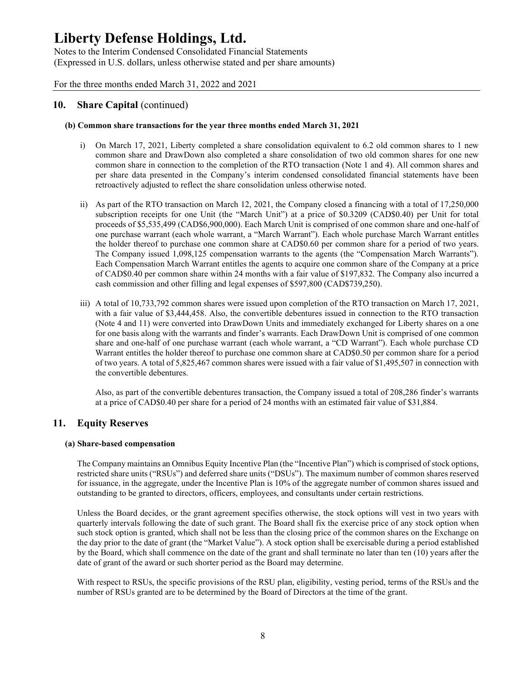Notes to the Interim Condensed Consolidated Financial Statements (Expressed in U.S. dollars, unless otherwise stated and per share amounts)

For the three months ended March 31, 2022 and 2021

## 10. Share Capital (continued)

#### (b) Common share transactions for the year three months ended March 31, 2021

- i) On March 17, 2021, Liberty completed a share consolidation equivalent to 6.2 old common shares to 1 new common share and DrawDown also completed a share consolidation of two old common shares for one new common share in connection to the completion of the RTO transaction (Note 1 and 4). All common shares and per share data presented in the Company's interim condensed consolidated financial statements have been retroactively adjusted to reflect the share consolidation unless otherwise noted.
- ii) As part of the RTO transaction on March 12, 2021, the Company closed a financing with a total of 17,250,000 subscription receipts for one Unit (the "March Unit") at a price of \$0.3209 (CAD\$0.40) per Unit for total proceeds of \$5,535,499 (CAD\$6,900,000). Each March Unit is comprised of one common share and one-half of one purchase warrant (each whole warrant, a "March Warrant"). Each whole purchase March Warrant entitles the holder thereof to purchase one common share at CAD\$0.60 per common share for a period of two years. The Company issued 1,098,125 compensation warrants to the agents (the "Compensation March Warrants"). Each Compensation March Warrant entitles the agents to acquire one common share of the Company at a price of CAD\$0.40 per common share within 24 months with a fair value of \$197,832. The Company also incurred a cash commission and other filling and legal expenses of \$597,800 (CAD\$739,250).
- iii) A total of 10,733,792 common shares were issued upon completion of the RTO transaction on March 17, 2021, with a fair value of \$3,444,458. Also, the convertible debentures issued in connection to the RTO transaction (Note 4 and 11) were converted into DrawDown Units and immediately exchanged for Liberty shares on a one for one basis along with the warrants and finder's warrants. Each DrawDown Unit is comprised of one common share and one-half of one purchase warrant (each whole warrant, a "CD Warrant"). Each whole purchase CD Warrant entitles the holder thereof to purchase one common share at CAD\$0.50 per common share for a period of two years. A total of 5,825,467 common shares were issued with a fair value of \$1,495,507 in connection with the convertible debentures.

Also, as part of the convertible debentures transaction, the Company issued a total of 208,286 finder's warrants at a price of CAD\$0.40 per share for a period of 24 months with an estimated fair value of \$31,884.

### 11. Equity Reserves

#### (a) Share-based compensation

The Company maintains an Omnibus Equity Incentive Plan (the "Incentive Plan") which is comprised of stock options, restricted share units ("RSUs") and deferred share units ("DSUs"). The maximum number of common shares reserved for issuance, in the aggregate, under the Incentive Plan is 10% of the aggregate number of common shares issued and outstanding to be granted to directors, officers, employees, and consultants under certain restrictions.

Unless the Board decides, or the grant agreement specifies otherwise, the stock options will vest in two years with quarterly intervals following the date of such grant. The Board shall fix the exercise price of any stock option when such stock option is granted, which shall not be less than the closing price of the common shares on the Exchange on the day prior to the date of grant (the "Market Value"). A stock option shall be exercisable during a period established by the Board, which shall commence on the date of the grant and shall terminate no later than ten (10) years after the date of grant of the award or such shorter period as the Board may determine.

With respect to RSUs, the specific provisions of the RSU plan, eligibility, vesting period, terms of the RSUs and the number of RSUs granted are to be determined by the Board of Directors at the time of the grant.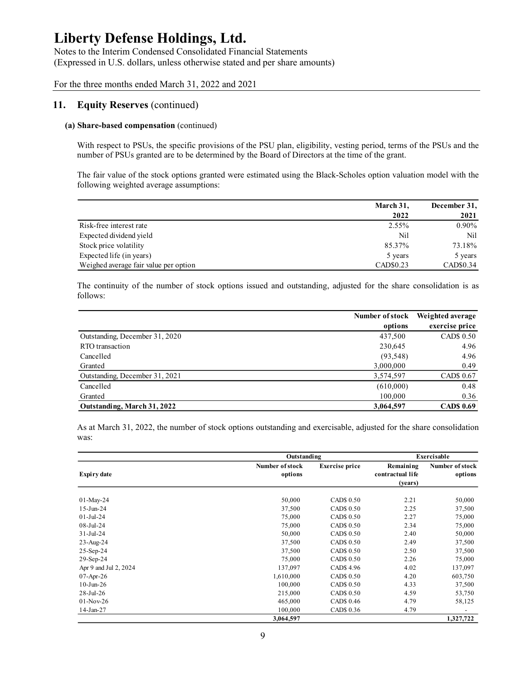Notes to the Interim Condensed Consolidated Financial Statements (Expressed in U.S. dollars, unless otherwise stated and per share amounts)

For the three months ended March 31, 2022 and 2021

### 11. Equity Reserves (continued)

#### (a) Share-based compensation (continued)

| <b>Equity Reserves (continued)</b>                                                                                                                                                                                       |           |              |
|--------------------------------------------------------------------------------------------------------------------------------------------------------------------------------------------------------------------------|-----------|--------------|
| Share-based compensation (continued)                                                                                                                                                                                     |           |              |
| With respect to PSUs, the specific provisions of the PSU plan, eligibility, vesting period, terms of the PSUs and the<br>number of PSUs granted are to be determined by the Board of Directors at the time of the grant. |           |              |
|                                                                                                                                                                                                                          |           |              |
| The fair value of the stock options granted were estimated using the Black-Scholes option valuation model with the<br>following weighted average assumptions:                                                            |           |              |
|                                                                                                                                                                                                                          | March 31, | December 31, |
|                                                                                                                                                                                                                          | 2022      | 2021         |
| Risk-free interest rate                                                                                                                                                                                                  | 2.55%     | $0.90\%$     |
| Expected dividend yield                                                                                                                                                                                                  | Nil       | Nil          |
| Stock price volatility                                                                                                                                                                                                   | 85.37%    | 73.18%       |
| Expected life (in years)                                                                                                                                                                                                 | 5 years   | 5 years      |

|                                                                                                                              | March 31,            | December 31,              |
|------------------------------------------------------------------------------------------------------------------------------|----------------------|---------------------------|
|                                                                                                                              | 2022                 | 2021                      |
| Risk-free interest rate                                                                                                      | 2.55%                | 0.90%                     |
| Expected dividend yield                                                                                                      | Nil                  | Nil                       |
| Stock price volatility                                                                                                       | 85.37%               | 73.18%                    |
| Expected life (in years)                                                                                                     | 5 years              | 5 years                   |
| Weighed average fair value per option                                                                                        | CAD\$0.23            | CAD\$0.34                 |
| The continuity of the number of stock options issued and outstanding, adjusted for the share consolidation is as<br>follows: |                      |                           |
|                                                                                                                              | Number of stock      | Weighted average          |
|                                                                                                                              | options              | exercise price            |
| Outstanding, December 31, 2020                                                                                               | 437,500              | CAD\$ 0.50                |
| RTO transaction                                                                                                              | 230,645              | 4.96                      |
| Cancelled                                                                                                                    | (93, 548)            | 4.96                      |
| Granted                                                                                                                      | 3,000,000            | 0.49                      |
| Outstanding, December 31, 2021                                                                                               | 3,574,597            | CAD\$ 0.67                |
| Cancelled                                                                                                                    | (610,000)            | 0.48                      |
| Granted<br>Outstanding, March 31, 2022                                                                                       | 100,000<br>3,064,597 | 0.36<br><b>CAD\$ 0.69</b> |

|                                |                            |                       | Number of stock             | Weighted average           |
|--------------------------------|----------------------------|-----------------------|-----------------------------|----------------------------|
|                                |                            |                       | options                     | exercise price             |
| Outstanding, December 31, 2020 |                            |                       | 437,500                     | CAD\$ 0.50                 |
| RTO transaction                |                            |                       | 230,645                     | 4.96                       |
| Cancelled                      |                            |                       | (93, 548)                   | 4.96                       |
| Granted                        |                            |                       | 3,000,000                   | 0.49                       |
| Outstanding, December 31, 2021 |                            |                       | 3,574,597                   | CAD\$ 0.67                 |
| Cancelled                      |                            |                       | (610,000)                   | 0.48                       |
| Granted                        |                            |                       | 100,000                     | 0.36                       |
| Outstanding, March 31, 2022    |                            |                       | 3,064,597                   | <b>CAD\$ 0.69</b>          |
| was:                           | Outstanding                |                       |                             | <b>Exercisable</b>         |
| <b>Expiry date</b>             | Number of stock<br>options | <b>Exercise price</b> | Remaining                   | Number of stock<br>options |
|                                |                            |                       | contractual life<br>(years) |                            |
| 01-May-24                      | 50,000                     | CAD\$ 0.50            | 2.21                        | 50,000                     |
| $15-Jun-24$                    | 37,500                     | CAD\$ 0.50            | 2.25                        | 37,500                     |
| $01-Jul-24$                    | 75,000                     | CAD\$ 0.50            | 2.27                        | 75,000                     |
| 08-Jul-24                      | 75,000                     | CAD\$ 0.50            | 2.34                        | 75,000                     |
| 31-Jul-24                      | 50,000                     | CAD\$ 0.50            | 2.40                        | 50,000                     |
| 23-Aug-24                      | 37,500                     | CAD\$ 0.50            | 2.49                        | 37,500                     |
| 25-Sep-24                      | 37,500                     | CAD\$ 0.50            | 2.50                        | 37,500                     |
| 29-Sep-24                      | 75,000                     | CAD\$ 0.50            | 2.26                        | 75,000                     |
| Apr 9 and Jul 2, 2024          | 137,097                    | CAD\$ 4.96            | 4.02                        | 137,097                    |
| 07-Apr-26                      | 1,610,000                  | CAD\$ 0.50            | 4.20                        | 603,750                    |
| $10-J$ un- $26$                | 100,000                    | CAD\$ 0.50            | 4.33                        | 37,500                     |
| 28-Jul-26                      | 215,000                    | CAD\$ 0.50            | 4.59                        | 53,750                     |
| $01-Nov-26$                    | 465,000                    | CAD\$ 0.46            | 4.79                        | 58,125                     |
| 14-Jan-27                      | 100,000<br>3,064,597       | CAD\$ 0.36            | 4.79                        | $\sim$<br>1,327,722        |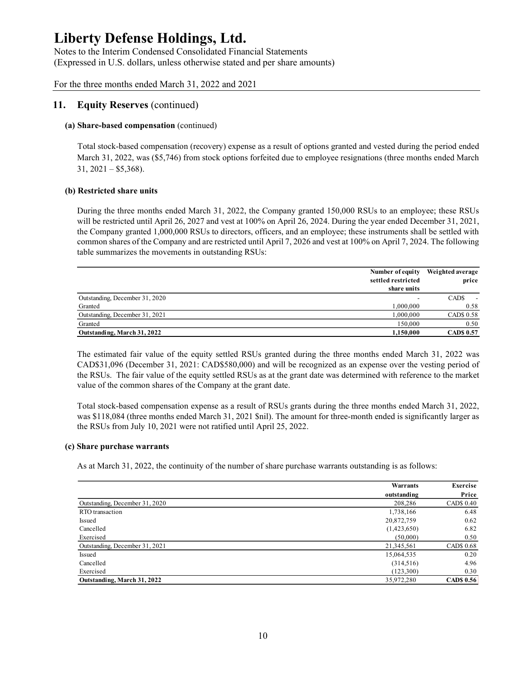Notes to the Interim Condensed Consolidated Financial Statements (Expressed in U.S. dollars, unless otherwise stated and per share amounts)

For the three months ended March 31, 2022 and 2021

### 11. Equity Reserves (continued)

### (a) Share-based compensation (continued)

#### (b) Restricted share units

| <b>Equity Reserves (continued)</b>                                                                                                                                                                                                                                                                                                                                                                                         |                                        |                           |
|----------------------------------------------------------------------------------------------------------------------------------------------------------------------------------------------------------------------------------------------------------------------------------------------------------------------------------------------------------------------------------------------------------------------------|----------------------------------------|---------------------------|
| Share-based compensation (continued)                                                                                                                                                                                                                                                                                                                                                                                       |                                        |                           |
| Total stock-based compensation (recovery) expense as a result of options granted and vested during the period ended<br>March 31, 2022, was (\$5,746) from stock options forfeited due to employee resignations (three months ended March<br>$31, 2021 - $5,368$ ).                                                                                                                                                         |                                        |                           |
| <b>Restricted share units</b>                                                                                                                                                                                                                                                                                                                                                                                              |                                        |                           |
| During the three months ended March 31, 2022, the Company granted 150,000 RSUs to an employee; these RSUs                                                                                                                                                                                                                                                                                                                  |                                        |                           |
| will be restricted until April 26, 2027 and vest at 100% on April 26, 2024. During the year ended December 31, 2021,<br>the Company granted 1,000,000 RSUs to directors, officers, and an employee; these instruments shall be settled with<br>common shares of the Company and are restricted until April 7, 2026 and vest at 100% on April 7, 2024. The following<br>table summarizes the movements in outstanding RSUs: | Number of equity<br>settled restricted | Weighted average<br>price |
|                                                                                                                                                                                                                                                                                                                                                                                                                            | share units                            |                           |
| Outstanding, December 31, 2020                                                                                                                                                                                                                                                                                                                                                                                             |                                        | $CADS -$                  |
| Granted                                                                                                                                                                                                                                                                                                                                                                                                                    | 1,000,000                              | 0.58                      |
| Outstanding, December 31, 2021                                                                                                                                                                                                                                                                                                                                                                                             | 1,000,000                              | CAD\$ 0.58                |
| Granted<br>Outstanding, March 31, 2022                                                                                                                                                                                                                                                                                                                                                                                     | 150,000<br>1,150,000                   | 0.50<br><b>CAD\$ 0.57</b> |

#### (c) Share purchase warrants

|                                                                                                                                                                                                                                                                                                                                                                                                                                                              | Number of equity Weighted average |                          |
|--------------------------------------------------------------------------------------------------------------------------------------------------------------------------------------------------------------------------------------------------------------------------------------------------------------------------------------------------------------------------------------------------------------------------------------------------------------|-----------------------------------|--------------------------|
|                                                                                                                                                                                                                                                                                                                                                                                                                                                              | settled restricted                | price                    |
|                                                                                                                                                                                                                                                                                                                                                                                                                                                              | share units                       |                          |
| Outstanding, December 31, 2020                                                                                                                                                                                                                                                                                                                                                                                                                               |                                   | CAD\$-                   |
| Granted                                                                                                                                                                                                                                                                                                                                                                                                                                                      | 1,000,000                         | 0.58                     |
| Outstanding, December 31, 2021                                                                                                                                                                                                                                                                                                                                                                                                                               | 1,000,000                         | CAD\$ 0.58               |
| Granted                                                                                                                                                                                                                                                                                                                                                                                                                                                      | 150,000                           | 0.50                     |
| Outstanding, March 31, 2022                                                                                                                                                                                                                                                                                                                                                                                                                                  | 1,150,000                         | <b>CADS 0.57</b>         |
| The estimated fair value of the equity settled RSUs granted during the three months ended March 31, 2022 was<br>CAD\$31,096 (December 31, 2021: CAD\$580,000) and will be recognized as an expense over the vesting period of<br>the RSUs. The fair value of the equity settled RSUs as at the grant date was determined with reference to the market<br>value of the common shares of the Company at the grant date.                                        |                                   |                          |
| Total stock-based compensation expense as a result of RSUs grants during the three months ended March 31, 2022,<br>was \$118,084 (three months ended March 31, 2021 \$nil). The amount for three-month ended is significantly larger as<br>the RSUs from July 10, 2021 were not ratified until April 25, 2022.<br><b>Share purchase warrants</b><br>As at March 31, 2022, the continuity of the number of share purchase warrants outstanding is as follows: |                                   |                          |
|                                                                                                                                                                                                                                                                                                                                                                                                                                                              |                                   |                          |
|                                                                                                                                                                                                                                                                                                                                                                                                                                                              | Warrants                          | Exercise                 |
|                                                                                                                                                                                                                                                                                                                                                                                                                                                              | outstanding<br>208,286            | Price<br>CAD\$ 0.40      |
| Outstanding, December 31, 2020                                                                                                                                                                                                                                                                                                                                                                                                                               |                                   |                          |
| RTO transaction                                                                                                                                                                                                                                                                                                                                                                                                                                              | 1,738,166                         | 6.48                     |
| Issued                                                                                                                                                                                                                                                                                                                                                                                                                                                       | 20,872,759                        | 0.62                     |
| Cancelled                                                                                                                                                                                                                                                                                                                                                                                                                                                    | (1,423,650)                       | 6.82                     |
| Exercised                                                                                                                                                                                                                                                                                                                                                                                                                                                    | (50,000)                          | 0.50                     |
| Outstanding, December 31, 2021                                                                                                                                                                                                                                                                                                                                                                                                                               | 21,345,561                        | CAD\$ 0.68               |
| Issued                                                                                                                                                                                                                                                                                                                                                                                                                                                       | 15,064,535                        | 0.20                     |
| Cancelled                                                                                                                                                                                                                                                                                                                                                                                                                                                    | (314,516)                         | 4.96                     |
| Exercised<br>Outstanding, March 31, 2022                                                                                                                                                                                                                                                                                                                                                                                                                     | (123,300)<br>35,972,280           | 0.30<br><b>CADS 0.56</b> |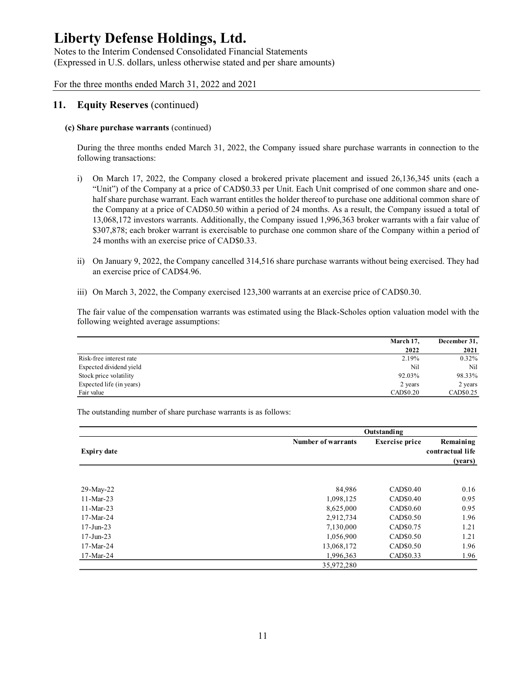Notes to the Interim Condensed Consolidated Financial Statements (Expressed in U.S. dollars, unless otherwise stated and per share amounts)

For the three months ended March 31, 2022 and 2021

## 11. Equity Reserves (continued)

### (c) Share purchase warrants (continued)

During the three months ended March 31, 2022, the Company issued share purchase warrants in connection to the following transactions:

- i) On March 17, 2022, the Company closed a brokered private placement and issued 26,136,345 units (each a "Unit") of the Company at a price of CAD\$0.33 per Unit. Each Unit comprised of one common share and onehalf share purchase warrant. Each warrant entitles the holder thereof to purchase one additional common share of the Company at a price of CAD\$0.50 within a period of 24 months. As a result, the Company issued a total of 13,068,172 investors warrants. Additionally, the Company issued 1,996,363 broker warrants with a fair value of \$307,878; each broker warrant is exercisable to purchase one common share of the Company within a period of 24 months with an exercise price of CAD\$0.33. rants in connection to the<br>
26,136,345 units (each a<br>
e common share and one-<br>
Iditional common share of<br>
Company issued a total of<br>
rrants with a fair value of<br>
mpany within a period of<br>
opeing exercised. They had<br>
AD\$0. Fair value 17, 2022, the Company closed a brokered private placement and issued 26,136,345 units (each a<br>
"Unit") of the Company at a price of CAD80.33 per Unit. Each Unit comptised of one common share and one-<br>
"In Each
- ii) On January 9, 2022, the Company cancelled 314,516 share purchase warrants without being exercised. They had an exercise price of CAD\$4.96.
- iii) On March 3, 2022, the Company exercised 123,300 warrants at an exercise price of CAD\$0.30.

|                          | March 17, | December 31, |
|--------------------------|-----------|--------------|
|                          | 2022      | 2021         |
| Risk-free interest rate  | 2.19%     | 0.32%        |
| Expected dividend yield  | Nil       | Nil          |
| Stock price volatility   | 92.03%    | 98.33%       |
| Expected life (in years) | 2 years   | 2 years      |
| Fair value               | CAD\$0.20 | CAD\$0.25    |

|                                                                                                      | 13,068,172 investors warrants. Additionally, the Company issued 1,996,363 broker warrants with a fair value of<br>\$307,878; each broker warrant is exercisable to purchase one common share of the Company within a period of |                             |
|------------------------------------------------------------------------------------------------------|--------------------------------------------------------------------------------------------------------------------------------------------------------------------------------------------------------------------------------|-----------------------------|
| 24 months with an exercise price of CAD\$0.33.                                                       |                                                                                                                                                                                                                                |                             |
| ii)<br>an exercise price of CAD\$4.96.                                                               | On January 9, 2022, the Company cancelled 314,516 share purchase warrants without being exercised. They had                                                                                                                    |                             |
|                                                                                                      | iii) On March 3, 2022, the Company exercised 123,300 warrants at an exercise price of CAD\$0.30.                                                                                                                               |                             |
| following weighted average assumptions:                                                              | The fair value of the compensation warrants was estimated using the Black-Scholes option valuation model with the                                                                                                              |                             |
|                                                                                                      | March 17,<br>2022                                                                                                                                                                                                              | December 31,<br>2021        |
| Risk-free interest rate                                                                              | 2.19%                                                                                                                                                                                                                          | 0.32%                       |
| Expected dividend yield                                                                              | Nil                                                                                                                                                                                                                            | Nil                         |
|                                                                                                      | 92.03%                                                                                                                                                                                                                         | 98.33%                      |
| Stock price volatility                                                                               |                                                                                                                                                                                                                                |                             |
| Expected life (in years)                                                                             | 2 years                                                                                                                                                                                                                        | 2 years                     |
|                                                                                                      | CAD\$0.20                                                                                                                                                                                                                      | CAD\$0.25                   |
|                                                                                                      | Outstanding                                                                                                                                                                                                                    |                             |
|                                                                                                      | Number of warrants<br><b>Exercise</b> price                                                                                                                                                                                    | Remaining                   |
| Fair value<br>The outstanding number of share purchase warrants is as follows:<br><b>Expiry date</b> |                                                                                                                                                                                                                                | contractual life<br>(years) |
|                                                                                                      | CAD\$0.40                                                                                                                                                                                                                      | 0.16                        |
| 29-May-22<br>$11-Mar-23$                                                                             | 84,986<br>1,098,125<br>CAD\$0.40                                                                                                                                                                                               | 0.95                        |
| $11-Mar-23$                                                                                          | CAD\$0.60                                                                                                                                                                                                                      | 0.95                        |
| 17-Mar-24                                                                                            | 8,625,000<br>2,912,734<br>CAD\$0.50                                                                                                                                                                                            | 1.96                        |
| $17 - Jun-23$                                                                                        | 7,130,000<br>CAD\$0.75                                                                                                                                                                                                         | 1.21                        |
| $17 - Jun-23$                                                                                        |                                                                                                                                                                                                                                | 1.21                        |
| 17-Mar-24                                                                                            | 1,056,900<br>CAD\$0.50<br>CAD\$0.50<br>13,068,172                                                                                                                                                                              | 1.96                        |
| 17-Mar-24                                                                                            | 1,996,363<br>CAD\$0.33                                                                                                                                                                                                         | 1.96                        |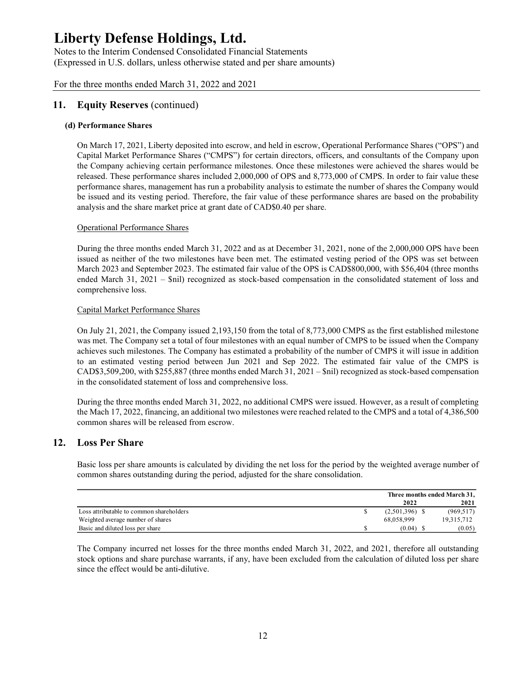Notes to the Interim Condensed Consolidated Financial Statements (Expressed in U.S. dollars, unless otherwise stated and per share amounts)

For the three months ended March 31, 2022 and 2021

## 11. Equity Reserves (continued)

### (d) Performance Shares

On March 17, 2021, Liberty deposited into escrow, and held in escrow, Operational Performance Shares ("OPS") and Capital Market Performance Shares ("CMPS") for certain directors, officers, and consultants of the Company upon the Company achieving certain performance milestones. Once these milestones were achieved the shares would be released. These performance shares included 2,000,000 of OPS and 8,773,000 of CMPS. In order to fair value these performance shares, management has run a probability analysis to estimate the number of shares the Company would be issued and its vesting period. Therefore, the fair value of these performance shares are based on the probability analysis and the share market price at grant date of CAD\$0.40 per share.

#### Operational Performance Shares

During the three months ended March 31, 2022 and as at December 31, 2021, none of the 2,000,000 OPS have been issued as neither of the two milestones have been met. The estimated vesting period of the OPS was set between March 2023 and September 2023. The estimated fair value of the OPS is CAD\$800,000, with \$56,404 (three months ended March 31, 2021 – \$nil) recognized as stock-based compensation in the consolidated statement of loss and comprehensive loss.

#### Capital Market Performance Shares

On July 21, 2021, the Company issued 2,193,150 from the total of 8,773,000 CMPS as the first established milestone was met. The Company set a total of four milestones with an equal number of CMPS to be issued when the Company achieves such milestones. The Company has estimated a probability of the number of CMPS it will issue in addition to an estimated vesting period between Jun 2021 and Sep 2022. The estimated fair value of the CMPS is CAD\$3,509,200, with \$255,887 (three months ended March 31, 2021 – \$nil) recognized as stock-based compensation in the consolidated statement of loss and comprehensive loss. established milestone<br>
ed when the Company<br>
twill issue in addition<br>
lue of the CMPS is<br>
k-based compensation<br>
a result of completing<br>
a a result of completing<br>
a a total of 4,386,500<br>
ed average number of<br>
ed average num Capital Market Performance Shares<br>
Capital Market Performance Shares<br>
On July 21, 2021, the Company issued 2,193, 150 from the total of 8,773,000 CMPS as the first established milestone<br>
was met. The Company state and of

During the three months ended March 31, 2022, no additional CMPS were issued. However, as a result of completing the Mach 17, 2022, financing, an additional two milestones were reached related to the CMPS and a total of 4,386,500 common shares will be released from escrow.

### 12. Loss Per Share

Basic loss per share amounts is calculated by dividing the net loss for the period by the weighted average number of common shares outstanding during the period, adjusted for the share consolidation.

|                                          | Three months ended March 31, |            |
|------------------------------------------|------------------------------|------------|
|                                          | 2022                         | 2021       |
| Loss attributable to common shareholders | $(2,501,396)$ \$             | (969, 517) |
| Weighted average number of shares        | 68,058,999                   | 19,315,712 |
| Basic and diluted loss per share         | (0.04)                       | (0.05)     |

The Company incurred net losses for the three months ended March 31, 2022, and 2021, therefore all outstanding stock options and share purchase warrants, if any, have been excluded from the calculation of diluted loss per share since the effect would be anti-dilutive.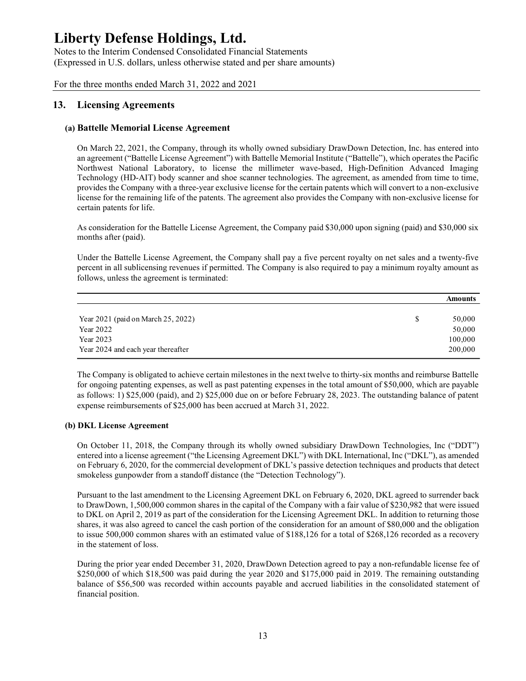Notes to the Interim Condensed Consolidated Financial Statements (Expressed in U.S. dollars, unless otherwise stated and per share amounts)

For the three months ended March 31, 2022 and 2021

## 13. Licensing Agreements

### (a) Battelle Memorial License Agreement

On March 22, 2021, the Company, through its wholly owned subsidiary DrawDown Detection, Inc. has entered into an agreement ("Battelle License Agreement") with Battelle Memorial Institute ("Battelle"), which operates the Pacific Northwest National Laboratory, to license the millimeter wave-based, High-Definition Advanced Imaging Technology (HD-AIT) body scanner and shoe scanner technologies. The agreement, as amended from time to time, provides the Company with a three-year exclusive license for the certain patents which will convert to a non-exclusive license for the remaining life of the patents. The agreement also provides the Company with non-exclusive license for certain patents for life.

As consideration for the Battelle License Agreement, the Company paid \$30,000 upon signing (paid) and \$30,000 six months after (paid).

Under the Battelle License Agreement, the Company shall pay a five percent royalty on net sales and a twenty-five percent in all sublicensing revenues if permitted. The Company is also required to pay a minimum royalty amount as follows, unless the agreement is terminated:

| J. |                                    | Amounts |
|----|------------------------------------|---------|
|    | Year 2021 (paid on March 25, 2022) | 50,000  |
|    | Year 2022                          | 50,000  |
|    | Year 2023                          | 100,000 |
|    | Year 2024 and each year thereafter | 200,000 |

The Company is obligated to achieve certain milestones in the next twelve to thirty-six months and reimburse Battelle for ongoing patenting expenses, as well as past patenting expenses in the total amount of \$50,000, which are payable as follows: 1) \$25,000 (paid), and 2) \$25,000 due on or before February 28, 2023. The outstanding balance of patent expense reimbursements of \$25,000 has been accrued at March 31, 2022.

#### (b) DKL License Agreement

On October 11, 2018, the Company through its wholly owned subsidiary DrawDown Technologies, Inc ("DDT") entered into a license agreement ("the Licensing Agreement DKL") with DKL International, Inc ("DKL"), as amended on February 6, 2020, for the commercial development of DKL's passive detection techniques and products that detect smokeless gunpowder from a standoff distance (the "Detection Technology").

Pursuant to the last amendment to the Licensing Agreement DKL on February 6, 2020, DKL agreed to surrender back to DrawDown, 1,500,000 common shares in the capital of the Company with a fair value of \$230,982 that were issued to DKL on April 2, 2019 as part of the consideration for the Licensing Agreement DKL. In addition to returning those shares, it was also agreed to cancel the cash portion of the consideration for an amount of \$80,000 and the obligation to issue 500,000 common shares with an estimated value of \$188,126 for a total of \$268,126 recorded as a recovery in the statement of loss.

During the prior year ended December 31, 2020, DrawDown Detection agreed to pay a non-refundable license fee of \$250,000 of which \$18,500 was paid during the year 2020 and \$175,000 paid in 2019. The remaining outstanding balance of \$56,500 was recorded within accounts payable and accrued liabilities in the consolidated statement of financial position.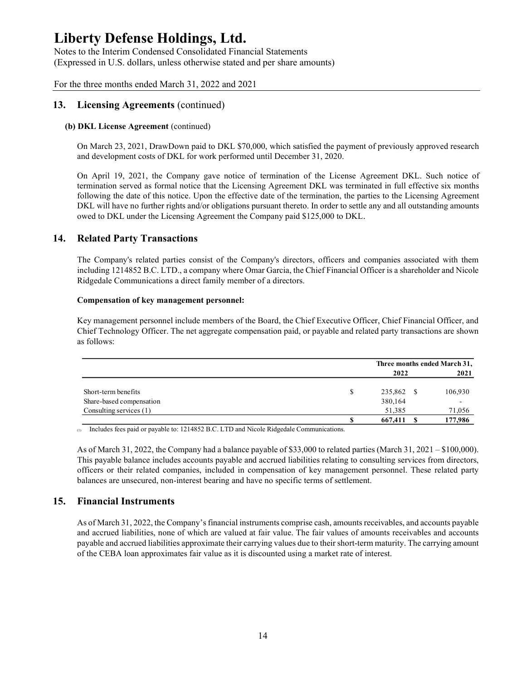Notes to the Interim Condensed Consolidated Financial Statements (Expressed in U.S. dollars, unless otherwise stated and per share amounts)

For the three months ended March 31, 2022 and 2021

## 13. Licensing Agreements (continued)

### (b) DKL License Agreement (continued)

On March 23, 2021, DrawDown paid to DKL \$70,000, which satisfied the payment of previously approved research and development costs of DKL for work performed until December 31, 2020.

## 14. Related Party Transactions

#### Compensation of key management personnel:

| On April 19, 2021, the Company gave notice of termination of the License Agreement DKL. Such notice of<br>ermination served as formal notice that the Licensing Agreement DKL was terminated in full effective six months<br>following the date of this notice. Upon the effective date of the termination, the parties to the Licensing Agreement<br>DKL will have no further rights and/or obligations pursuant thereto. In order to settle any and all outstanding amounts<br>owed to DKL under the Licensing Agreement the Company paid \$125,000 to DKL. |                                      |         |
|---------------------------------------------------------------------------------------------------------------------------------------------------------------------------------------------------------------------------------------------------------------------------------------------------------------------------------------------------------------------------------------------------------------------------------------------------------------------------------------------------------------------------------------------------------------|--------------------------------------|---------|
| <b>Related Party Transactions</b>                                                                                                                                                                                                                                                                                                                                                                                                                                                                                                                             |                                      |         |
| The Company's related parties consist of the Company's directors, officers and companies associated with them<br>ncluding 1214852 B.C. LTD., a company where Omar Garcia, the Chief Financial Officer is a shareholder and Nicole<br>Ridgedale Communications a direct family member of a directors.                                                                                                                                                                                                                                                          |                                      |         |
| Compensation of key management personnel:                                                                                                                                                                                                                                                                                                                                                                                                                                                                                                                     |                                      |         |
|                                                                                                                                                                                                                                                                                                                                                                                                                                                                                                                                                               |                                      |         |
|                                                                                                                                                                                                                                                                                                                                                                                                                                                                                                                                                               |                                      |         |
|                                                                                                                                                                                                                                                                                                                                                                                                                                                                                                                                                               | Three months ended March 31,<br>2022 | 2021    |
| Key management personnel include members of the Board, the Chief Executive Officer, Chief Financial Officer, and<br>Chief Technology Officer. The net aggregate compensation paid, or payable and related party transactions are shown<br>as follows:                                                                                                                                                                                                                                                                                                         |                                      |         |
| Short-term benefits                                                                                                                                                                                                                                                                                                                                                                                                                                                                                                                                           | \$<br>235,862 \$                     | 106,930 |
| Share-based compensation<br>Consulting services (1)                                                                                                                                                                                                                                                                                                                                                                                                                                                                                                           | 380,164<br>51,385                    | 71,056  |

(1) Includes fees paid or payable to: 1214852 B.C. LTD and Nicole Ridgedale Communications.

As of March 31, 2022, the Company had a balance payable of \$33,000 to related parties (March 31, 2021 – \$100,000). This payable balance includes accounts payable and accrued liabilities relating to consulting services from directors, officers or their related companies, included in compensation of key management personnel. These related party balances are unsecured, non-interest bearing and have no specific terms of settlement.

## 15. Financial Instruments

As of March 31, 2022, the Company's financial instruments comprise cash, amounts receivables, and accounts payable and accrued liabilities, none of which are valued at fair value. The fair values of amounts receivables and accounts payable and accrued liabilities approximate their carrying values due to their short-term maturity. The carrying amount of the CEBA loan approximates fair value as it is discounted using a market rate of interest.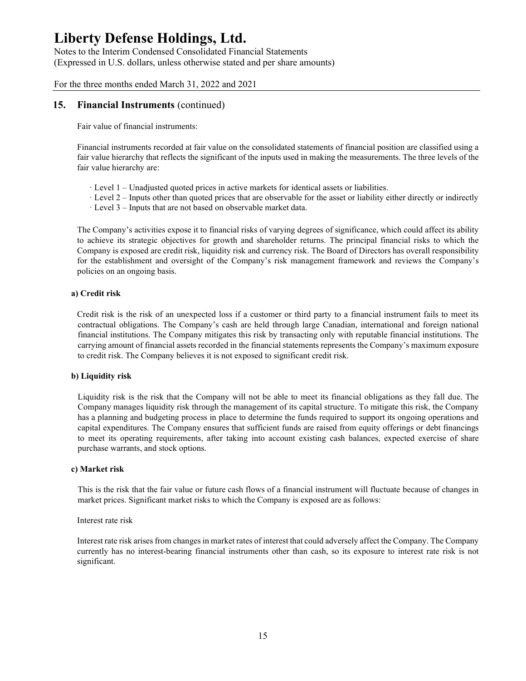Notes to the Interim Condensed Consolidated Financial Statements (Expressed in U.S. dollars, unless otherwise stated and per share amounts)

For the three months ended March 31, 2022 and 2021

## 15. Financial Instruments (continued)

Fair value of financial instruments:

Financial instruments recorded at fair value on the consolidated statements of financial position are classified using a fair value hierarchy that reflects the significant of the inputs used in making the measurements. The three levels of the fair value hierarchy are:

- · Level 1 Unadjusted quoted prices in active markets for identical assets or liabilities.
- · Level 2 Inputs other than quoted prices that are observable for the asset or liability either directly or indirectly
- · Level 3 Inputs that are not based on observable market data.

The Company's activities expose it to financial risks of varying degrees of significance, which could affect its ability to achieve its strategic objectives for growth and shareholder returns. The principal financial risks to which the Company is exposed are credit risk, liquidity risk and currency risk. The Board of Directors has overall responsibility for the establishment and oversight of the Company's risk management framework and reviews the Company's policies on an ongoing basis.

#### a) Credit risk

Credit risk is the risk of an unexpected loss if a customer or third party to a financial instrument fails to meet its contractual obligations. The Company's cash are held through large Canadian, international and foreign national financial institutions. The Company mitigates this risk by transacting only with reputable financial institutions. The carrying amount of financial assets recorded in the financial statements represents the Company's maximum exposure to credit risk. The Company believes it is not exposed to significant credit risk.

#### b) Liquidity risk

Liquidity risk is the risk that the Company will not be able to meet its financial obligations as they fall due. The Company manages liquidity risk through the management of its capital structure. To mitigate this risk, the Company has a planning and budgeting process in place to determine the funds required to support its ongoing operations and capital expenditures. The Company ensures that sufficient funds are raised from equity offerings or debt financings to meet its operating requirements, after taking into account existing cash balances, expected exercise of share purchase warrants, and stock options.

#### c) Market risk

This is the risk that the fair value or future cash flows of a financial instrument will fluctuate because of changes in market prices. Significant market risks to which the Company is exposed are as follows:

#### Interest rate risk

Interest rate risk arises from changes in market rates of interest that could adversely affect the Company. The Company currently has no interest-bearing financial instruments other than cash, so its exposure to interest rate risk is not significant.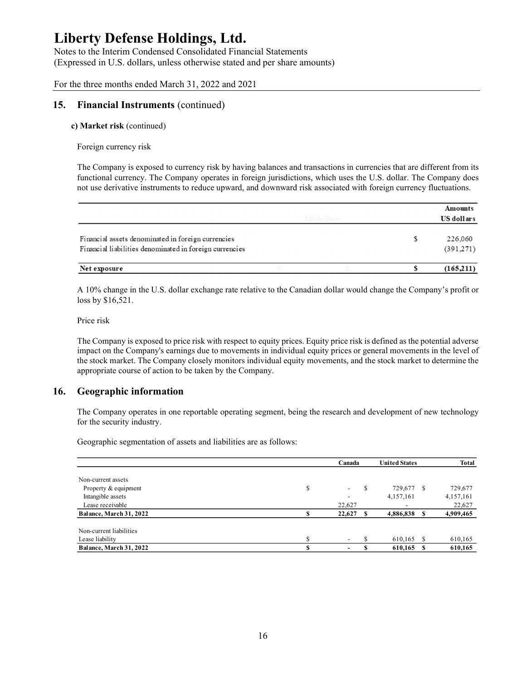Notes to the Interim Condensed Consolidated Financial Statements (Expressed in U.S. dollars, unless otherwise stated and per share amounts)

For the three months ended March 31, 2022 and 2021

### 15. Financial Instruments (continued)

#### c) Market risk (continued)

Foreign currency risk

The Company is exposed to currency risk by having balances and transactions in currencies that are different from its functional currency. The Company operates in foreign jurisdictions, which uses the U.S. dollar. The Company does not use derivative instruments to reduce upward, and downward risk associated with foreign currency fluctuations.

|                                                                                                               |               | Amounts              |
|---------------------------------------------------------------------------------------------------------------|---------------|----------------------|
|                                                                                                               | UN d.c. Harry | US dollars           |
| Financial assets denominated in foreign currencies<br>Financial liabilities denominated in foreign currencies |               | 226,060<br>(391.271) |
| Net exposure                                                                                                  |               | (165,211)            |

### 16. Geographic information

| rinancial assets denominated in foreign currencies<br>Financial liabilities denominated in foreign currencies                                                                                                                                                                                                                                                        |              |               | $\mathcal{D}$        | 220,000<br>(391, 271) |
|----------------------------------------------------------------------------------------------------------------------------------------------------------------------------------------------------------------------------------------------------------------------------------------------------------------------------------------------------------------------|--------------|---------------|----------------------|-----------------------|
|                                                                                                                                                                                                                                                                                                                                                                      |              |               | S                    |                       |
| Net exposure                                                                                                                                                                                                                                                                                                                                                         |              |               |                      | (165,211)             |
| A 10% change in the U.S. dollar exchange rate relative to the Canadian dollar would change the Company's profit or<br>loss by \$16,521.                                                                                                                                                                                                                              |              |               |                      |                       |
| Price risk                                                                                                                                                                                                                                                                                                                                                           |              |               |                      |                       |
| The Company is exposed to price risk with respect to equity prices. Equity price risk is defined as the potential adverse<br>impact on the Company's earnings due to movements in individual equity prices or general movements in the level of<br>the stock market. The Company closely monitors individual equity movements, and the stock market to determine the |              |               |                      |                       |
| appropriate course of action to be taken by the Company.                                                                                                                                                                                                                                                                                                             |              |               |                      |                       |
| <b>Geographic information</b>                                                                                                                                                                                                                                                                                                                                        |              |               |                      |                       |
| The Company operates in one reportable operating segment, being the research and development of new technology<br>for the security industry.<br>Geographic segmentation of assets and liabilities are as follows:                                                                                                                                                    |              |               |                      |                       |
|                                                                                                                                                                                                                                                                                                                                                                      |              | Canada        | <b>United States</b> | <b>Total</b>          |
|                                                                                                                                                                                                                                                                                                                                                                      |              |               |                      |                       |
| Non-current assets<br>Property & equipment                                                                                                                                                                                                                                                                                                                           | \$           | \$            | 729,677 \$           | 729,677               |
| Intangible assets                                                                                                                                                                                                                                                                                                                                                    |              |               | 4,157,161            | 4,157,161             |
| Lease receivable                                                                                                                                                                                                                                                                                                                                                     |              | 22,627        |                      | 22,627                |
| Balance, March 31, 2022                                                                                                                                                                                                                                                                                                                                              | $\mathbf{s}$ | $22,627$ \$   | 4,886,838 \$         | 4,909,465             |
| Non-current liabilities                                                                                                                                                                                                                                                                                                                                              |              |               |                      |                       |
| Lease liability                                                                                                                                                                                                                                                                                                                                                      | \$           | <sup>\$</sup> | $610,165$ \$         | 610,165               |